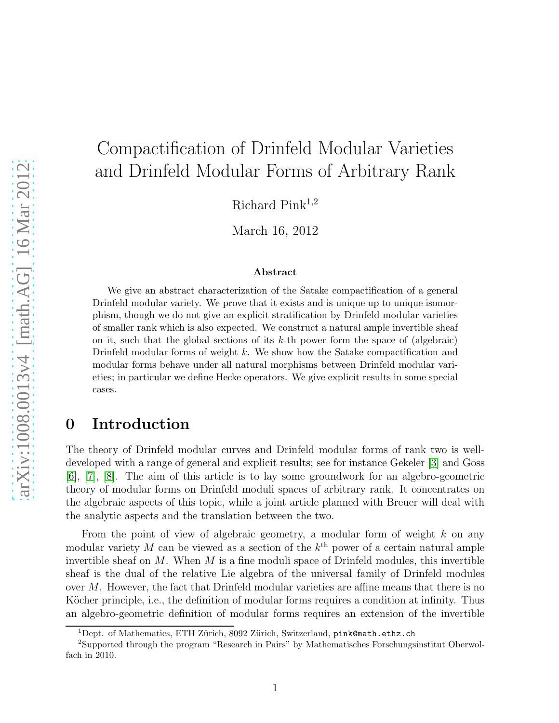# Compactification of Drinfeld Modular Varieties and Drinfeld Modular Forms of Arbitrary Rank

Richard Pink<sup>1,2</sup>

March 16, 2012

#### Abstract

We give an abstract characterization of the Satake compactification of a general Drinfeld modular variety. We prove that it exists and is unique up to unique isomorphism, though we do not give an explicit stratification by Drinfeld modular varieties of smaller rank which is also expected. We construct a natural ample invertible sheaf on it, such that the global sections of its k-th power form the space of (algebraic) Drinfeld modular forms of weight k. We show how the Satake compactification and modular forms behave under all natural morphisms between Drinfeld modular varieties; in particular we define Hecke operators. We give explicit results in some special cases.

# 0 Introduction

The theory of Drinfeld modular curves and Drinfeld modular forms of rank two is welldeveloped with a range of general and explicit results; see for instance Gekeler [\[3\]](#page-28-0) and Goss [\[6\]](#page-28-1), [\[7\]](#page-28-2), [\[8\]](#page-28-3). The aim of this article is to lay some groundwork for an algebro-geometric theory of modular forms on Drinfeld moduli spaces of arbitrary rank. It concentrates on the algebraic aspects of this topic, while a joint article planned with Breuer will deal with the analytic aspects and the translation between the two.

From the point of view of algebraic geometry, a modular form of weight  $k$  on any modular variety M can be viewed as a section of the  $k^{\text{th}}$  power of a certain natural ample invertible sheaf on  $M$ . When  $M$  is a fine moduli space of Drinfeld modules, this invertible sheaf is the dual of the relative Lie algebra of the universal family of Drinfeld modules over M. However, the fact that Drinfeld modular varieties are affine means that there is no Köcher principle, i.e., the definition of modular forms requires a condition at infinity. Thus an algebro-geometric definition of modular forms requires an extension of the invertible

<sup>&</sup>lt;sup>1</sup>Dept. of Mathematics, ETH Zürich, 8092 Zürich, Switzerland, pink@math.ethz.ch

<sup>2</sup>Supported through the program "Research in Pairs" by Mathematisches Forschungsinstitut Oberwolfach in 2010.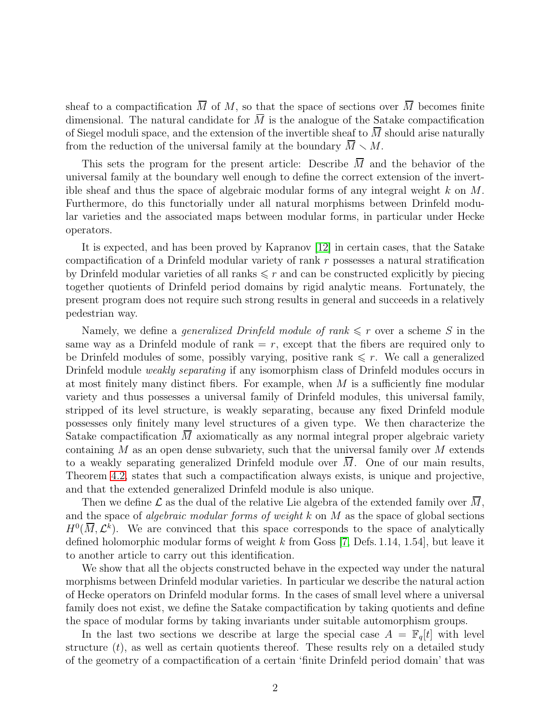sheaf to a compactification  $\overline{M}$  of M, so that the space of sections over  $\overline{M}$  becomes finite dimensional. The natural candidate for  $\overline{M}$  is the analogue of the Satake compactification of Siegel moduli space, and the extension of the invertible sheaf to  $\overline{M}$  should arise naturally from the reduction of the universal family at the boundary  $\overline{M} \setminus M$ .

This sets the program for the present article: Describe  $\overline{M}$  and the behavior of the universal family at the boundary well enough to define the correct extension of the invertible sheaf and thus the space of algebraic modular forms of any integral weight  $k$  on  $M$ . Furthermore, do this functorially under all natural morphisms between Drinfeld modular varieties and the associated maps between modular forms, in particular under Hecke operators.

It is expected, and has been proved by Kapranov [\[12\]](#page-29-0) in certain cases, that the Satake compactification of a Drinfeld modular variety of rank r possesses a natural stratification by Drinfeld modular varieties of all ranks  $\leq r$  and can be constructed explicitly by piecing together quotients of Drinfeld period domains by rigid analytic means. Fortunately, the present program does not require such strong results in general and succeeds in a relatively pedestrian way.

Namely, we define a *generalized Drinfeld module of rank*  $\leq r$  over a scheme S in the same way as a Drinfeld module of rank  $=r$ , except that the fibers are required only to be Drinfeld modules of some, possibly varying, positive rank  $\leq r$ . We call a generalized Drinfeld module *weakly separating* if any isomorphism class of Drinfeld modules occurs in at most finitely many distinct fibers. For example, when  $M$  is a sufficiently fine modular variety and thus possesses a universal family of Drinfeld modules, this universal family, stripped of its level structure, is weakly separating, because any fixed Drinfeld module possesses only finitely many level structures of a given type. We then characterize the Satake compactification M axiomatically as any normal integral proper algebraic variety containing  $M$  as an open dense subvariety, such that the universal family over  $M$  extends to a weakly separating generalized Drinfeld module over  $\overline{M}$ . One of our main results, Theorem [4.2,](#page-13-0) states that such a compactification always exists, is unique and projective, and that the extended generalized Drinfeld module is also unique.

Then we define  $\mathcal L$  as the dual of the relative Lie algebra of the extended family over  $\overline M$ , and the space of *algebraic modular forms of weight*  $k$  on  $M$  as the space of global sections  $H^0(\overline{M}, \mathcal{L}^k)$ . We are convinced that this space corresponds to the space of analytically defined holomorphic modular forms of weight k from Goss  $[7,$  Defs. 1.14, 1.54, but leave it to another article to carry out this identification.

We show that all the objects constructed behave in the expected way under the natural morphisms between Drinfeld modular varieties. In particular we describe the natural action of Hecke operators on Drinfeld modular forms. In the cases of small level where a universal family does not exist, we define the Satake compactification by taking quotients and define the space of modular forms by taking invariants under suitable automorphism groups.

In the last two sections we describe at large the special case  $A = \mathbb{F}_q[t]$  with level structure  $(t)$ , as well as certain quotients thereof. These results rely on a detailed study of the geometry of a compactification of a certain 'finite Drinfeld period domain' that was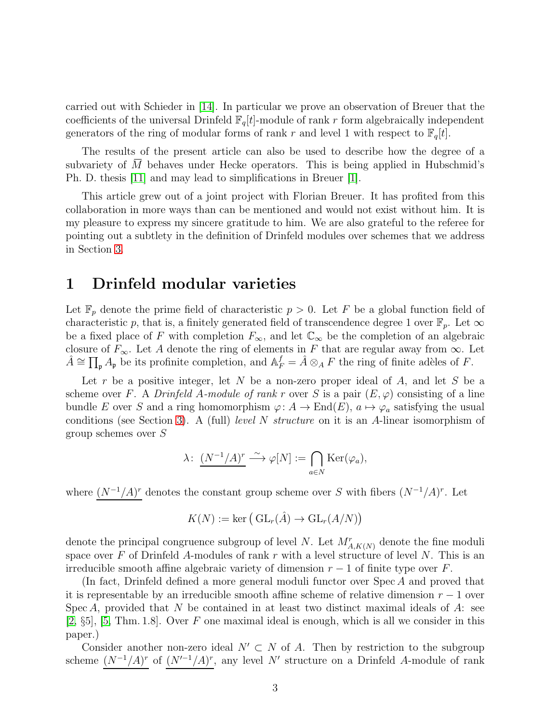carried out with Schieder in [\[14\]](#page-29-1). In particular we prove an observation of Breuer that the coefficients of the universal Drinfeld  $\mathbb{F}_q[t]$ -module of rank r form algebraically independent generators of the ring of modular forms of rank r and level 1 with respect to  $\mathbb{F}_q[t]$ .

The results of the present article can also be used to describe how the degree of a subvariety of M behaves under Hecke operators. This is being applied in Hubschmid's Ph. D. thesis [\[11\]](#page-28-4) and may lead to simplifications in Breuer [\[1\]](#page-28-5).

This article grew out of a joint project with Florian Breuer. It has profited from this collaboration in more ways than can be mentioned and would not exist without him. It is my pleasure to express my sincere gratitude to him. We are also grateful to the referee for pointing out a subtlety in the definition of Drinfeld modules over schemes that we address in Section [3.](#page-8-0)

#### <span id="page-2-0"></span>1 Drinfeld modular varieties

Let  $\mathbb{F}_p$  denote the prime field of characteristic  $p > 0$ . Let F be a global function field of characteristic p, that is, a finitely generated field of transcendence degree 1 over  $\mathbb{F}_p$ . Let  $\infty$ be a fixed place of F with completion  $F_{\infty}$ , and let  $\mathbb{C}_{\infty}$  be the completion of an algebraic closure of  $F_{\infty}$ . Let A denote the ring of elements in F that are regular away from  $\infty$ . Let  $\hat{A} \cong \prod_{\mathfrak{p}} A_{\mathfrak{p}}$  be its profinite completion, and  $A_F^f = \hat{A} \otimes_A F$  the ring of finite adèles of F.

Let r be a positive integer, let N be a non-zero proper ideal of A, and let S be a scheme over F. A Drinfeld A-module of rank r over S is a pair  $(E, \varphi)$  consisting of a line bundle E over S and a ring homomorphism  $\varphi: A \to \text{End}(E)$ ,  $a \mapsto \varphi_a$  satisfying the usual conditions (see Section [3\)](#page-8-0). A (full) *level N structure* on it is an A-linear isomorphism of group schemes over S

$$
\lambda\colon \underbrace{(N^{-1}/A)^r}\stackrel{\sim}{\longrightarrow} \varphi[N]:=\bigcap_{a\in N}\mathrm{Ker}(\varphi_a),
$$

where  $(N^{-1}/A)^r$  denotes the constant group scheme over S with fibers  $(N^{-1}/A)^r$ . Let

$$
K(N) := \ker \big(\operatorname{GL}_r(\hat{A}) \to \operatorname{GL}_r(A/N)\big)
$$

denote the principal congruence subgroup of level N. Let  $M^r_{A,K(N)}$  denote the fine moduli space over F of Drinfeld A-modules of rank r with a level structure of level N. This is an irreducible smooth affine algebraic variety of dimension  $r - 1$  of finite type over F.

(In fact, Drinfeld defined a more general moduli functor over Spec A and proved that it is representable by an irreducible smooth affine scheme of relative dimension  $r - 1$  over Spec A, provided that N be contained in at least two distinct maximal ideals of A: see  $[2, \S5], [5, Thm. 1.8].$  $[2, \S5], [5, Thm. 1.8].$  $[2, \S5], [5, Thm. 1.8].$  $[2, \S5], [5, Thm. 1.8].$  Over F one maximal ideal is enough, which is all we consider in this paper.)

Consider another non-zero ideal  $N' \subset N$  of A. Then by restriction to the subgroup scheme  $(N^{-1}/A)^r$  of  $(N'^{-1}/A)^r$ , any level N' structure on a Drinfeld A-module of rank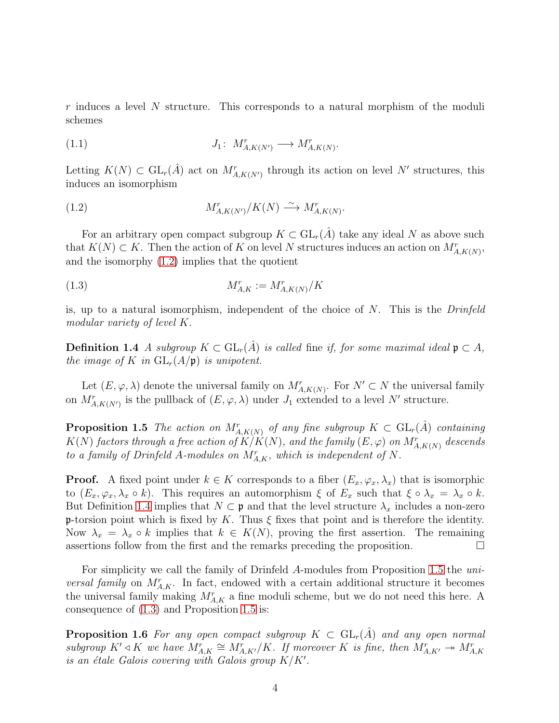r induces a level N structure. This corresponds to a natural morphism of the moduli schemes

<span id="page-3-4"></span>
$$
(1.1) \t\t J_1: M^r_{A,K(N')} \longrightarrow M^r_{A,K(N)}.
$$

Letting  $K(N) \subset GL_r(\hat{A})$  act on  $M^r_{A,K(N')}$  through its action on level N' structures, this induces an isomorphism

<span id="page-3-0"></span>(1.2) 
$$
M_{A,K(N')}^r/K(N) \xrightarrow{\sim} M_{A,K(N)}^r.
$$

For an arbitrary open compact subgroup  $K \subset GL_r(\hat{A})$  take any ideal N as above such that  $K(N) \subset K$ . Then the action of K on level N structures induces an action on  $M^r_{A,K(N)}$ , and the isomorphy [\(1.2\)](#page-3-0) implies that the quotient

<span id="page-3-3"></span>
$$
(1.3)\qquad \qquad M_{A,K}^r := M_{A,K(N)}^r / K
$$

<span id="page-3-1"></span>is, up to a natural isomorphism, independent of the choice of  $N$ . This is the *Drinfeld* modular variety of level K.

**Definition 1.4** A subgroup  $K \subset GL_r(A)$  is called fine if, for some maximal ideal  $\mathfrak{p} \subset A$ , the image of K in  $GL_r(A/\mathfrak{p})$  is unipotent.

<span id="page-3-2"></span>Let  $(E, \varphi, \lambda)$  denote the universal family on  $M^r_{A, K(N)}$ . For  $N' \subset N$  the universal family on  $M_{A,K(N')}^r$  is the pullback of  $(E, \varphi, \lambda)$  under  $J_1$  extended to a level N' structure.

**Proposition 1.5** The action on  $M^r_{A,K(N)}$  of any fine subgroup  $K \subset GL_r(\hat{A})$  containing  $K(N)$  factors through a free action of  $K/K(N),$  and the family  $(E,\varphi)$  on  $M^r_{A,K(N)}$  descends to a family of Drinfeld A-modules on  $M_{A,K}^r$ , which is independent of N.

**Proof.** A fixed point under  $k \in K$  corresponds to a fiber  $(E_x, \varphi_x, \lambda_x)$  that is isomorphic to  $(E_x, \varphi_x, \lambda_x \circ k)$ . This requires an automorphism  $\xi$  of  $E_x$  such that  $\xi \circ \lambda_x = \lambda_x \circ k$ . But Definition [1.4](#page-3-1) implies that  $N \subset \mathfrak{p}$  and that the level structure  $\lambda_x$  includes a non-zero p-torsion point which is fixed by K. Thus  $\xi$  fixes that point and is therefore the identity. Now  $\lambda_x = \lambda_x \circ k$  implies that  $k \in K(N)$ , proving the first assertion. The remaining assertions follow from the first and the remarks preceding the proposition.  $\Box$ 

For simplicity we call the family of Drinfeld A-modules from Proposition [1.5](#page-3-2) the uni*versal family* on  $M_{A,K}^{r}$ . In fact, endowed with a certain additional structure it becomes the universal family making  $M_{A,K}^r$  a fine moduli scheme, but we do not need this here. A consequence of [\(1.3\)](#page-3-3) and Proposition [1.5](#page-3-2) is:

**Proposition 1.6** For any open compact subgroup  $K \subset GL_r(A)$  and any open normal subgroup  $K' \lhd K$  we have  $M^r_{A,K} \cong M^r_{A,K'}/K$ . If moreover K is fine, then  $M^r_{A,K'} \twoheadrightarrow M^r_{A,K}$ is an étale Galois covering with Galois group  $K/K'$ .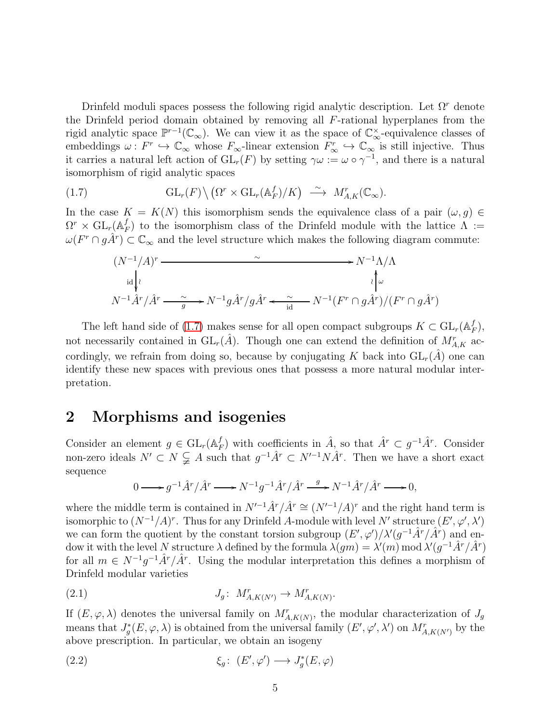Drinfeld moduli spaces possess the following rigid analytic description. Let  $\Omega^r$  denote the Drinfeld period domain obtained by removing all F-rational hyperplanes from the rigid analytic space  $\mathbb{P}^{r-1}(\mathbb{C}_{\infty})$ . We can view it as the space of  $\mathbb{C}_{\infty}^{\times}$ -equivalence classes of embeddings  $\omega: F^r \hookrightarrow \mathbb{C}_{\infty}$  whose  $F_{\infty}$ -linear extension  $F_{\infty}^r \hookrightarrow \mathbb{C}_{\infty}$  is still injective. Thus it carries a natural left action of  $GL_r(F)$  by setting  $\gamma \omega := \omega \circ \gamma^{-1}$ , and there is a natural isomorphism of rigid analytic spaces

(1.7) 
$$
\text{GL}_r(F) \setminus (\Omega^r \times \text{GL}_r(\mathbb{A}_F^f)/K) \stackrel{\sim}{\longrightarrow} M_{A,K}^r(\mathbb{C}_{\infty}).
$$

In the case  $K = K(N)$  this isomorphism sends the equivalence class of a pair  $(\omega, q) \in$  $\Omega^r \times \mathrm{GL}_r(\mathbb{A}_P^f$  $_{F}^{J}$ ) to the isomorphism class of the Drinfeld module with the lattice  $\Lambda$  :=  $\omega(F^r \cap g\hat{A}^r) \subset \mathbb{C}_{\infty}$  and the level structure which makes the following diagram commute:

<span id="page-4-0"></span>
$$
(N^{-1}/A)^r \xrightarrow{\sim} N^{-1} \Lambda/\Lambda
$$
  
\n
$$
\downarrow^{\lambda}
$$
  
\n
$$
N^{-1} \hat{A}^r / \hat{A}^r \xrightarrow{\sim} N^{-1} g \hat{A}^r / g \hat{A}^r \xleftarrow{\sim} N^{-1} (F^r \cap g \hat{A}^r) / (F^r \cap g \hat{A}^r)
$$

The left hand side of [\(1.7\)](#page-4-0) makes sense for all open compact subgroups  $K \subset GL_r(\mathbb{A}_F^f)$  $_{F}^{J}),$ not necessarily contained in  $GL_r(\hat{A})$ . Though one can extend the definition of  $M^r_{A,K}$  accordingly, we refrain from doing so, because by conjugating K back into  $GL_r(\hat{A})$  one can identify these new spaces with previous ones that possess a more natural modular interpretation.

#### <span id="page-4-3"></span>2 Morphisms and isogenies

Consider an element  $g \in GL_r(\mathbb{A}_F^f)$  $(f_F)$  with coefficients in  $\hat{A}$ , so that  $\hat{A}^r \subset g^{-1}\hat{A}^r$ . Consider non-zero ideals  $N' \subset N \subsetneq A$  such that  $g^{-1}\hat{A}^r \subset N'^{-1}N\hat{A}^r$ . Then we have a short exact sequence

<span id="page-4-1"></span>
$$
0 \longrightarrow g^{-1}\hat{A}^r/\hat{A}^r \longrightarrow N^{-1}g^{-1}\hat{A}^r/\hat{A}^r \longrightarrow N^{-1}\hat{A}^r/\hat{A}^r \longrightarrow 0,
$$

where the middle term is contained in  $N'^{-1}\hat{A}^r/\hat{A}^r \cong (N'^{-1}/A)^r$  and the right hand term is isomorphic to  $(N^{-1}/A)^r$ . Thus for any Drinfeld A-module with level N' structure  $(E', \varphi', \lambda')$ we can form the quotient by the constant torsion subgroup  $(E', \varphi')/\lambda' (g^{-1}\hat{A}^r/\hat{A}^r)$  and endow it with the level N structure  $\lambda$  defined by the formula  $\lambda(gm) = \lambda'(m) \mod \lambda'(g^{-1}\hat{A}^r/\hat{A}^r)$ for all  $m \in N^{-1}g^{-1}\hat{A}^r/\hat{A}^r$ . Using the modular interpretation this defines a morphism of Drinfeld modular varieties

$$
(2.1) \t\t J_g: M^r_{A,K(N')} \to M^r_{A,K(N)}.
$$

If  $(E, \varphi, \lambda)$  denotes the universal family on  $M^r_{A, K(N)}$ , the modular characterization of  $J_g$ means that  $J_g^*(E, \varphi, \lambda)$  is obtained from the universal family  $(E', \varphi', \lambda')$  on  $M^r_{A, K(N')}$  by the above prescription. In particular, we obtain an isogeny

<span id="page-4-2"></span>(2.2) 
$$
\xi_g \colon (E', \varphi') \longrightarrow J_g^*(E, \varphi)
$$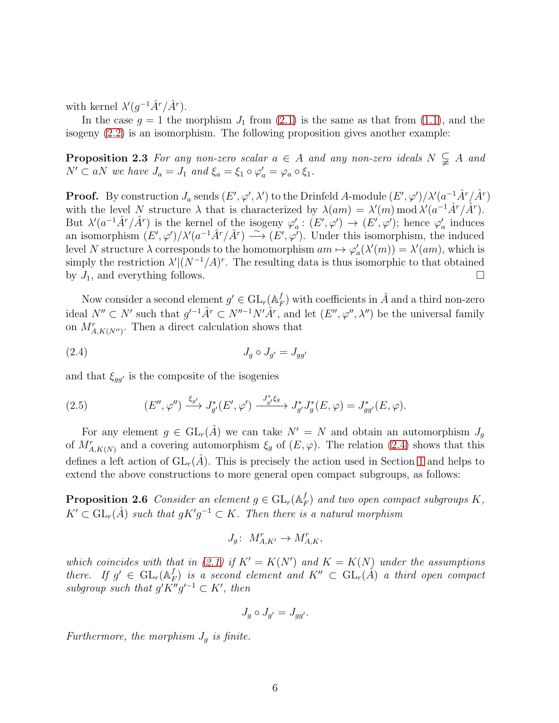with kernel  $\lambda'(g^{-1}\hat{A}^r/\hat{A}^r)$ .

<span id="page-5-1"></span>In the case  $g = 1$  the morphism  $J_1$  from  $(2.1)$  is the same as that from  $(1.1)$ , and the isogeny [\(2.2\)](#page-4-2) is an isomorphism. The following proposition gives another example:

**Proposition 2.3** For any non-zero scalar  $a \in A$  and any non-zero ideals  $N \subsetneq A$  and  $N' \subset aN$  we have  $J_a = J_1$  and  $\xi_a = \xi_1 \circ \varphi'_a = \varphi_a \circ \xi_1$ .

**Proof.** By construction  $J_a$  sends  $(E', \varphi', \lambda')$  to the Drinfeld A-module  $(E', \varphi')/\lambda'(a^{-1}\hat{A}^r/\hat{A}^r)$ with the level N structure  $\lambda$  that is characterized by  $\lambda(am) = \lambda'(m) \bmod \lambda'(a^{-1}\hat{A}^r/\hat{A}^r)$ . But  $\lambda'(a^{-1}\hat{A}^r/\hat{A}^r)$  is the kernel of the isogeny  $\varphi_a': (E', \varphi') \to (E', \varphi')$ ; hence  $\varphi_a'$  induces an isomorphism  $(E', \varphi')/\lambda' (a^{-1}\hat{A}^r/\hat{A}^r) \stackrel{\sim}{\longrightarrow} (E', \varphi')$ . Under this isomorphism, the induced level N structure  $\lambda$  corresponds to the homomorphism  $am \mapsto \varphi_a'(\lambda'(m)) = \lambda'(am)$ , which is simply the restriction  $\lambda' | (N^{-1}/A)^r$ . The resulting data is thus isomorphic to that obtained by  $J_1$ , and everything follows.

Now consider a second element  $g' \in GL_r(\mathbb{A}_P^f)$  $_{F}^{f}$ ) with coefficients in  $\hat{A}$  and a third non-zero ideal  $N'' \subset N'$  such that  $g'^{-1}\hat{A}^r \subset N''^{-1}N'\hat{A}^r$ , and let  $(E'', \varphi'', \lambda'')$  be the universal family on  $M^r_{A, K(N')}$ . Then a direct calculation shows that

<span id="page-5-0"></span>
$$
(2.4) \t\t J_g \circ J_{g'} = J_{gg'}
$$

and that  $\xi_{qq'}$  is the composite of the isogenies

<span id="page-5-3"></span>(2.5) 
$$
(E'', \varphi'') \xrightarrow{\xi_{g'}} J^*_{g'}(E', \varphi') \xrightarrow{J^*_{g'} \xi_g} J^*_{g'} J^*_{g}(E, \varphi) = J^*_{gg'}(E, \varphi).
$$

For any element  $g \in GL_r(\hat{A})$  we can take  $N' = N$  and obtain an automorphism  $J_g$ of  $M^r_{A,K(N)}$  and a covering automorphism  $\xi_g$  of  $(E, \varphi)$ . The relation [\(2.4\)](#page-5-0) shows that this defines a left action of  $GL_r(\hat{A})$ . This is precisely the action used in Section [1](#page-2-0) and helps to extend the above constructions to more general open compact subgroups, as follows:

<span id="page-5-2"></span>**Proposition 2.6** Consider an element  $g \in GL_r(\mathbb{A}_P^f)$  $_{F}^{J}$ ) and two open compact subgroups  $K,$  $K' \subset GL_r(\hat{A})$  such that  $gK'g^{-1} \subset K$ . Then there is a natural morphism

$$
J_g\colon\; M^r_{A,K'} \to M^r_{A,K},
$$

which coincides with that in [\(2.1\)](#page-4-1) if  $K' = K(N')$  and  $K = K(N)$  under the assumptions there. If  $g' \in GL_r(\mathbb{A}_P^f)$  $_{F}^{f})$  is a second element and  $K''\, \subset\, \mathrm{GL}_{r}(\hat{A})$  a third open compact subgroup such that  $g'K''g'^{-1} \subset K'$ , then

$$
J_g \circ J_{g'} = J_{gg'}.
$$

Furthermore, the morphism  $J_q$  is finite.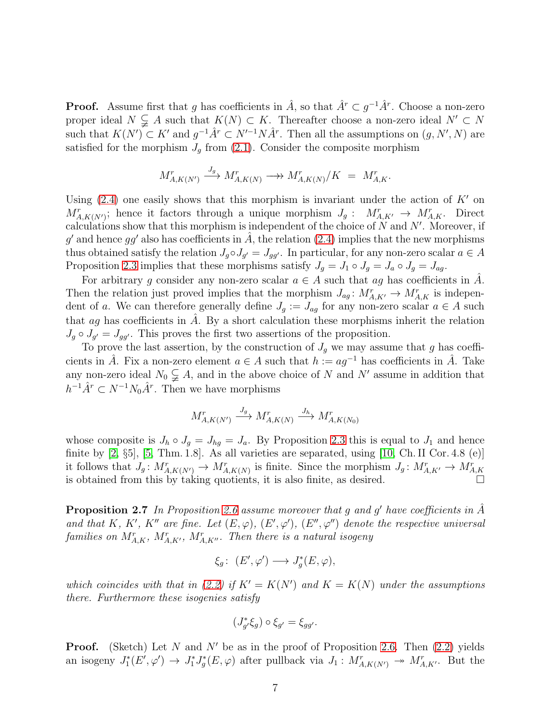**Proof.** Assume first that g has coefficients in  $\hat{A}$ , so that  $\hat{A}^r \subset g^{-1}\hat{A}^r$ . Choose a non-zero proper ideal  $N \subsetneq A$  such that  $K(N) \subset K$ . Thereafter choose a non-zero ideal  $N' \subset N$ such that  $K(N') \subset K'$  and  $g^{-1}\hat{A}^r \subset N'^{-1}N\hat{A}^r$ . Then all the assumptions on  $(g, N', N)$  are satisfied for the morphism  $J_g$  from [\(2.1\)](#page-4-1). Consider the composite morphism

$$
M_{A,K(N')}^r \xrightarrow{J_g} M_{A,K(N)}^r \longrightarrow M_{A,K(N)}^r / K = M_{A,K}^r.
$$

Using  $(2.4)$  one easily shows that this morphism is invariant under the action of K' on  $M_{A,K(N')}^r$ ; hence it factors through a unique morphism  $J_g: M_{A,K'}^r \to M_{A,K}^r$ . Direct calculations show that this morphism is independent of the choice of  $N$  and  $N'$ . Moreover, if g' and hence gg' also has coefficients in  $\hat{A}$ , the relation [\(2.4\)](#page-5-0) implies that the new morphisms thus obtained satisfy the relation  $J_g \circ J_{g'} = J_{gg'}$ . In particular, for any non-zero scalar  $a \in A$ Proposition [2.3](#page-5-1) implies that these morphisms satisfy  $J_g = J_1 \circ J_g = J_a \circ J_g = J_{ag}$ .

For arbitrary g consider any non-zero scalar  $a \in A$  such that ag has coefficients in A. Then the relation just proved implies that the morphism  $J_{ag}: M_{A,K'}^r \to M_{A,K}^r$  is independent of a. We can therefore generally define  $J_g := J_{ag}$  for any non-zero scalar  $a \in A$  such that  $ag$  has coefficients in A. By a short calculation these morphisms inherit the relation  $J_g \circ J_{g'} = J_{gg'}$ . This proves the first two assertions of the proposition.

To prove the last assertion, by the construction of  $J<sub>g</sub>$  we may assume that g has coefficients in  $\hat{A}$ . Fix a non-zero element  $a \in A$  such that  $h := aq^{-1}$  has coefficients in  $\hat{A}$ . Take any non-zero ideal  $N_0 \subsetneq A$ , and in the above choice of N and N' assume in addition that  $h^{-1}\hat{A}^r \subset N^{-1}N_0\hat{A}^r$ . Then we have morphisms

$$
M^r_{A,K(N')} \xrightarrow{J_g} M^r_{A,K(N)} \xrightarrow{J_h} M^r_{A,K(N_0)}
$$

whose composite is  $J_h \circ J_g = J_{hg} = J_a$ . By Proposition [2.3](#page-5-1) this is equal to  $J_1$  and hence finite by  $[2, \S5]$ ,  $[5, \text{Thm. } 1.8]$ . As all varieties are separated, using  $[10, \text{Ch. } II \text{ Cor. } 4.8 \text{ (e)}]$ it follows that  $J_g: M^r_{A,K(N')} \to M^r_{A,K(N)}$  is finite. Since the morphism  $J_g: M^r_{A,K'} \to M^r_{A,K'}$ is obtained from this by taking quotients, it is also finite, as desired.

<span id="page-6-0"></span>**Proposition 2.7** In Proposition [2.6](#page-5-2) assume moreover that g and g' have coefficients in  $\hat{A}$ and that K, K', K'' are fine. Let  $(E, \varphi), (E', \varphi'), (E'', \varphi'')$  denote the respective universal families on  $M_{A,K}^r$ ,  $M_{A,K'}^r$ ,  $M_{A,K''}^r$ . Then there is a natural isogeny

$$
\xi_g\colon\ (E',\varphi')\longrightarrow J_g^*(E,\varphi),
$$

which coincides with that in [\(2.2\)](#page-4-2) if  $K' = K(N')$  and  $K = K(N)$  under the assumptions there. Furthermore these isogenies satisfy

$$
(J_{g'}^*\xi_g)\circ \xi_{g'}=\xi_{gg'}.
$$

**Proof.** (Sketch) Let N and N' be as in the proof of Proposition [2.6.](#page-5-2) Then  $(2.2)$  yields an isogeny  $J_1^*(E',\varphi') \to J_1^*J_g^*(E,\varphi)$  after pullback via  $J_1: M_{A,K(N')}^* \to M_{A,K'}^*$ . But the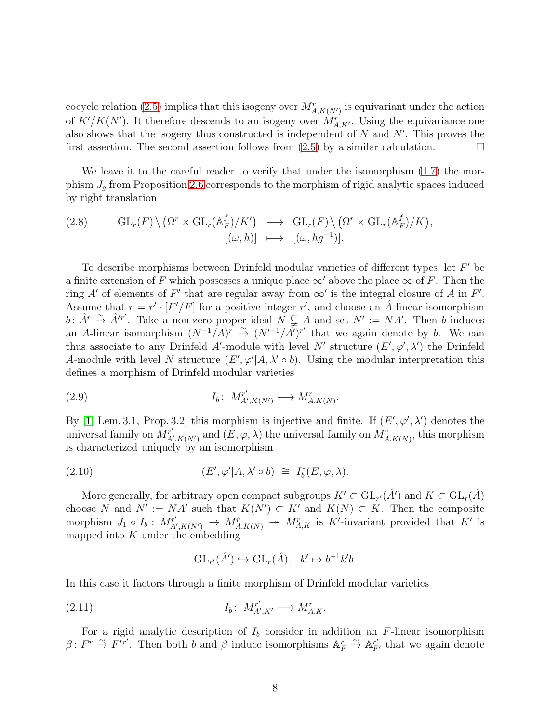cocycle relation [\(2.5\)](#page-5-3) implies that this isogeny over  $M^r_{A, K(N')}$  is equivariant under the action of  $K'/K(N')$ . It therefore descends to an isogeny over  $M_{A,K'}^r$ . Using the equivariance one also shows that the isogeny thus constructed is independent of  $N$  and  $N'$ . This proves the first assertion. The second assertion follows from  $(2.5)$  by a similar calculation.

We leave it to the careful reader to verify that under the isomorphism [\(1.7\)](#page-4-0) the morphism  $J_q$  from Proposition [2.6](#page-5-2) corresponds to the morphism of rigid analytic spaces induced by right translation

<span id="page-7-3"></span>(2.8) 
$$
\mathrm{GL}_r(F) \setminus (\Omega^r \times \mathrm{GL}_r(\mathbb{A}_F^f)/K') \longrightarrow \mathrm{GL}_r(F) \setminus (\Omega^r \times \mathrm{GL}_r(\mathbb{A}_F^f)/K), [(\omega, h)] \longmapsto [(\omega, hg^{-1})].
$$

To describe morphisms between Drinfeld modular varieties of different types, let  $F'$  be a finite extension of F which possesses a unique place  $\infty'$  above the place  $\infty$  of F. Then the ring A' of elements of F' that are regular away from  $\infty'$  is the integral closure of A in F'. Assume that  $r = r' \cdot [F'/F]$  for a positive integer r', and choose an  $\hat{A}$ -linear isomorphism  $b: \hat{A}^r \stackrel{\sim}{\to} \hat{A}'^{r'}$ . Take a non-zero proper ideal  $N \subsetneq A$  and set  $N' := NA'$ . Then b induces an A-linear isomorphism  $(N^{-1}/A)^r \stackrel{\sim}{\rightarrow} (N'^{-1}/A)^{r'}$  that we again denote by b. We can thus associate to any Drinfeld A'-module with level N' structure  $(E', \varphi', \lambda')$  the Drinfeld A-module with level N structure  $(E', \varphi' | A, \lambda' \circ b)$ . Using the modular interpretation this defines a morphism of Drinfeld modular varieties

<span id="page-7-1"></span>
$$
(2.9) \tI_b: M_{A',K(N')}^{r'} \longrightarrow M_{A,K(N)}^r.
$$

By [\[1,](#page-28-5) Lem. 3.1, Prop. 3.2] this morphism is injective and finite. If  $(E', \varphi', \lambda')$  denotes the universal family on  $M_{A}^{r'}$  $A'_{A',K(N')}$  and  $(E, \varphi, \lambda)$  the universal family on  $M^r_{A,K(N)}$ , this morphism is characterized uniquely by an isomorphism

(2.10) 
$$
(E', \varphi'|A, \lambda' \circ b) \cong I_b^*(E, \varphi, \lambda).
$$

More generally, for arbitrary open compact subgroups  $K' \subset GL_{r'}(\hat{A}')$  and  $K \subset GL_{r}(\hat{A})$ choose N and  $N' := NA'$  such that  $K(N') \subset K'$  and  $K(N) \subset K$ . Then the composite morphism  $J_1 \circ I_b : M_{A'}^{r'}$  $M^r_{A,K(N')} \to M^r_{A,K(N)} \to M^r_{A,K}$  is K'-invariant provided that K' is mapped into  $K$  under the embedding

<span id="page-7-2"></span><span id="page-7-0"></span>
$$
GL_{r'}(\hat{A}') \hookrightarrow GL_r(\hat{A}), \quad k' \mapsto b^{-1}k'b.
$$

In this case it factors through a finite morphism of Drinfeld modular varieties

$$
(2.11) \t I_b: M_{A',K'}^{r'} \longrightarrow M_{A,K}^{r}.
$$

For a rigid analytic description of  $I<sub>b</sub>$  consider in addition an F-linear isomorphism  $\beta: F^r \stackrel{\sim}{\to} F'^{r'}$ . Then both b and  $\beta$  induce isomorphisms  $\mathbb{A}_F^r \stackrel{\sim}{\to} \mathbb{A}_{F'}^{r'}$  that we again denote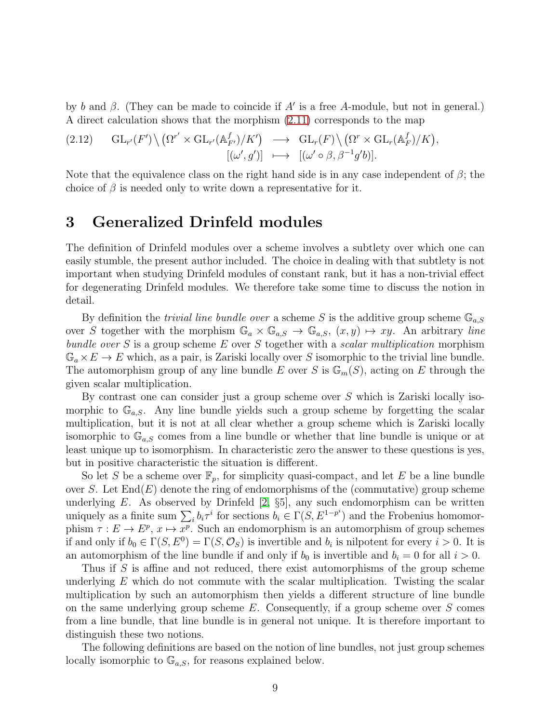by b and  $\beta$ . (They can be made to coincide if A' is a free A-module, but not in general.) A direct calculation shows that the morphism [\(2.11\)](#page-7-0) corresponds to the map

$$
(2.12) \quad GL_{r'}(F')\setminus (\Omega^{r'}\times GL_{r'}(\mathbb{A}_{F'}^{f})/K') \longrightarrow GL_{r}(F)\setminus (\Omega^{r}\times GL_{r}(\mathbb{A}_{F}^{f})/K),[(\omega',g')] \longmapsto [(\omega'\circ\beta,\beta^{-1}g'b)].
$$

Note that the equivalence class on the right hand side is in any case independent of  $\beta$ ; the choice of  $\beta$  is needed only to write down a representative for it.

# <span id="page-8-0"></span>3 Generalized Drinfeld modules

The definition of Drinfeld modules over a scheme involves a subtlety over which one can easily stumble, the present author included. The choice in dealing with that subtlety is not important when studying Drinfeld modules of constant rank, but it has a non-trivial effect for degenerating Drinfeld modules. We therefore take some time to discuss the notion in detail.

By definition the *trivial line bundle over* a scheme S is the additive group scheme  $\mathbb{G}_{a,S}$ over S together with the morphism  $\mathbb{G}_a \times \mathbb{G}_{a,S} \to \mathbb{G}_{a,S}$ ,  $(x, y) \mapsto xy$ . An arbitrary line bundle over S is a group scheme  $E$  over S together with a scalar multiplication morphism  $\mathbb{G}_a \times E \to E$  which, as a pair, is Zariski locally over S isomorphic to the trivial line bundle. The automorphism group of any line bundle E over S is  $\mathbb{G}_m(S)$ , acting on E through the given scalar multiplication.

By contrast one can consider just a group scheme over S which is Zariski locally isomorphic to  $\mathbb{G}_{a,s}$ . Any line bundle yields such a group scheme by forgetting the scalar multiplication, but it is not at all clear whether a group scheme which is Zariski locally isomorphic to  $\mathbb{G}_{a,S}$  comes from a line bundle or whether that line bundle is unique or at least unique up to isomorphism. In characteristic zero the answer to these questions is yes, but in positive characteristic the situation is different.

So let S be a scheme over  $\mathbb{F}_p$ , for simplicity quasi-compact, and let E be a line bundle over S. Let  $\text{End}(E)$  denote the ring of endomorphisms of the (commutative) group scheme underlying  $E$ . As observed by Drinfeld  $[2, \S5]$ , any such endomorphism can be written uniquely as a finite sum  $\sum_i b_i \tau^i$  for sections  $b_i \in \Gamma(S, E^{1-p^i})$  and the Frobenius homomorphism  $\tau : E \to E^p$ ,  $x \mapsto x^p$ . Such an endomorphism is an automorphism of group schemes if and only if  $b_0 \in \Gamma(S, E^0) = \Gamma(S, \mathcal{O}_S)$  is invertible and  $b_i$  is nilpotent for every  $i > 0$ . It is an automorphism of the line bundle if and only if  $b_0$  is invertible and  $b_i = 0$  for all  $i > 0$ .

Thus if S is affine and not reduced, there exist automorphisms of the group scheme underlying  $E$  which do not commute with the scalar multiplication. Twisting the scalar multiplication by such an automorphism then yields a different structure of line bundle on the same underlying group scheme  $E$ . Consequently, if a group scheme over  $S$  comes from a line bundle, that line bundle is in general not unique. It is therefore important to distinguish these two notions.

The following definitions are based on the notion of line bundles, not just group schemes locally isomorphic to  $\mathbb{G}_{a,S}$ , for reasons explained below.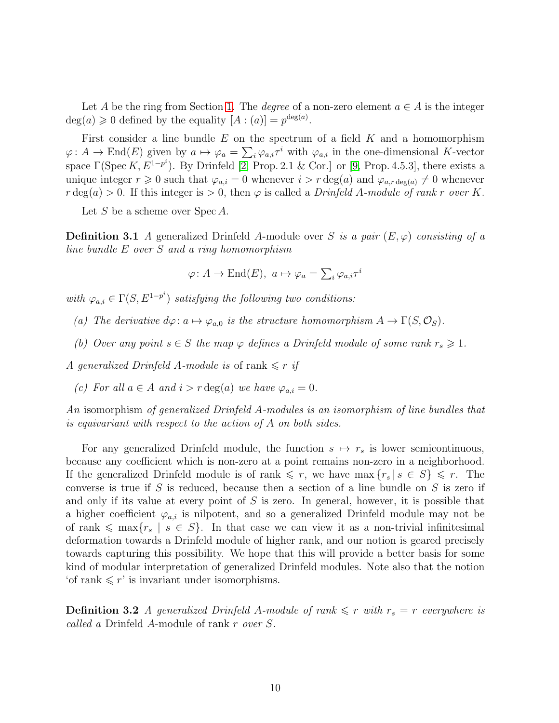Let A be the ring from Section [1.](#page-2-0) The *degree* of a non-zero element  $a \in A$  is the integer  $deg(a) \geq 0$  defined by the equality  $[A:(a)] = p^{deg(a)}$ .

First consider a line bundle  $E$  on the spectrum of a field  $K$  and a homomorphism  $\varphi: A \to \text{End}(E)$  given by  $a \mapsto \varphi_a = \sum_i \varphi_{a,i} \tau^i$  with  $\varphi_{a,i}$  in the one-dimensional K-vector space  $\Gamma(\text{Spec } K, E^{1-p^i})$ . By Drinfeld [\[2,](#page-28-6) Prop. 2.1 & Cor.] or [\[9,](#page-28-9) Prop. 4.5.3], there exists a unique integer  $r \geq 0$  such that  $\varphi_{a,i} = 0$  whenever  $i > r \deg(a)$  and  $\varphi_{a,r \deg(a)} \neq 0$  whenever  $r \deg(a) > 0$ . If this integer is  $> 0$ , then  $\varphi$  is called a *Drinfeld A-module of rank r over K*.

<span id="page-9-0"></span>Let S be a scheme over  $Spec A$ .

**Definition 3.1** A generalized Drinfeld A-module over S is a pair  $(E, \varphi)$  consisting of a line bundle E over S and a ring homomorphism

$$
\varphi \colon A \to \text{End}(E), \ a \mapsto \varphi_a = \sum_i \varphi_{a,i} \tau^i
$$

with  $\varphi_{a,i} \in \Gamma(S, E^{1-p^i})$  satisfying the following two conditions:

- (a) The derivative  $d\varphi: a \mapsto \varphi_{a,0}$  is the structure homomorphism  $A \to \Gamma(S, \mathcal{O}_S)$ .
- (b) Over any point  $s \in S$  the map  $\varphi$  defines a Drinfeld module of some rank  $r_s \geq 1$ .

A generalized Drinfeld A-module is of rank  $\leq r$  if

(c) For all  $a \in A$  and  $i > r \deg(a)$  we have  $\varphi_{a,i} = 0$ .

An isomorphism of generalized Drinfeld A-modules is an isomorphism of line bundles that is equivariant with respect to the action of A on both sides.

For any generalized Drinfeld module, the function  $s \mapsto r_s$  is lower semicontinuous, because any coefficient which is non-zero at a point remains non-zero in a neighborhood. If the generalized Drinfeld module is of rank  $\leq r$ , we have max  $\{r_s | s \in S\} \leq r$ . The converse is true if S is reduced, because then a section of a line bundle on S is zero if and only if its value at every point of  $S$  is zero. In general, however, it is possible that a higher coefficient  $\varphi_{a,i}$  is nilpotent, and so a generalized Drinfeld module may not be of rank  $\leq \max\{r_s \mid s \in S\}$ . In that case we can view it as a non-trivial infinitesimal deformation towards a Drinfeld module of higher rank, and our notion is geared precisely towards capturing this possibility. We hope that this will provide a better basis for some kind of modular interpretation of generalized Drinfeld modules. Note also that the notion 'of rank  $\leq r'$  is invariant under isomorphisms.

<span id="page-9-1"></span>**Definition 3.2** A generalized Drinfeld A-module of rank  $\leq r$  with  $r_s = r$  everywhere is called a Drinfeld A-module of rank r over S.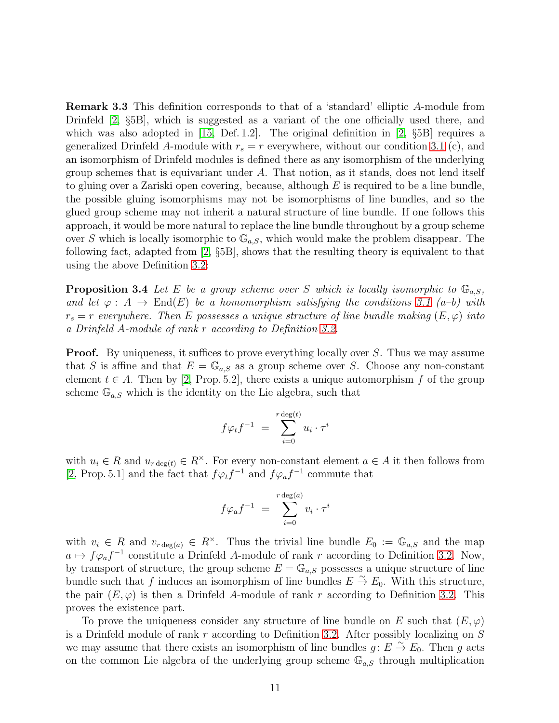Remark 3.3 This definition corresponds to that of a 'standard' elliptic A-module from Drinfeld [\[2,](#page-28-6) §5B], which is suggested as a variant of the one officially used there, and which was also adopted in [\[15,](#page-29-2) Def. 1.2]. The original definition in [\[2,](#page-28-6)  $\S5B$ ] requires a generalized Drinfeld A-module with  $r_s = r$  everywhere, without our condition [3.1](#page-9-0) (c), and an isomorphism of Drinfeld modules is defined there as any isomorphism of the underlying group schemes that is equivariant under  $A$ . That notion, as it stands, does not lend itself to gluing over a Zariski open covering, because, although  $E$  is required to be a line bundle, the possible gluing isomorphisms may not be isomorphisms of line bundles, and so the glued group scheme may not inherit a natural structure of line bundle. If one follows this approach, it would be more natural to replace the line bundle throughout by a group scheme over S which is locally isomorphic to  $\mathbb{G}_{a,s}$ , which would make the problem disappear. The following fact, adapted from [\[2,](#page-28-6) §5B], shows that the resulting theory is equivalent to that using the above Definition [3.2:](#page-9-1)

<span id="page-10-0"></span>**Proposition 3.4** Let E be a group scheme over S which is locally isomorphic to  $\mathbb{G}_{a,S}$ , and let  $\varphi: A \to \text{End}(E)$  be a homomorphism satisfying the conditions [3.1](#page-9-0) (a–b) with  $r_s = r$  everywhere. Then E possesses a unique structure of line bundle making  $(E, \varphi)$  into a Drinfeld A-module of rank r according to Definition [3.2.](#page-9-1)

**Proof.** By uniqueness, it suffices to prove everything locally over S. Thus we may assume that S is affine and that  $E = \mathbb{G}_{a,S}$  as a group scheme over S. Choose any non-constant element  $t \in A$ . Then by [\[2,](#page-28-6) Prop. 5.2], there exists a unique automorphism f of the group scheme  $\mathbb{G}_{a,S}$  which is the identity on the Lie algebra, such that

$$
f\varphi_t f^{-1} = \sum_{i=0}^{r \deg(t)} u_i \cdot \tau^i
$$

with  $u_i \in R$  and  $u_{r \deg(t)} \in R^{\times}$ . For every non-constant element  $a \in A$  it then follows from [\[2,](#page-28-6) Prop. 5.1] and the fact that  $f\varphi_t f^{-1}$  and  $f\varphi_a f^{-1}$  commute that

$$
f\varphi_a f^{-1} = \sum_{i=0}^{r \deg(a)} v_i \cdot \tau^i
$$

with  $v_i \in R$  and  $v_{r \deg(a)} \in R^{\times}$ . Thus the trivial line bundle  $E_0 := \mathbb{G}_{a,S}$  and the map  $a \mapsto f\varphi_a f^{-1}$  constitute a Drinfeld A-module of rank r according to Definition [3.2.](#page-9-1) Now, by transport of structure, the group scheme  $E = \mathbb{G}_{a,S}$  possesses a unique structure of line bundle such that f induces an isomorphism of line bundles  $E \stackrel{\sim}{\to} E_0$ . With this structure, the pair  $(E, \varphi)$  is then a Drinfeld A-module of rank r according to Definition [3.2.](#page-9-1) This proves the existence part.

To prove the uniqueness consider any structure of line bundle on E such that  $(E, \varphi)$ is a Drinfeld module of rank r according to Definition [3.2.](#page-9-1) After possibly localizing on S we may assume that there exists an isomorphism of line bundles  $g: E \overset{\sim}{\to} E_0$ . Then g acts on the common Lie algebra of the underlying group scheme  $\mathbb{G}_{a,S}$  through multiplication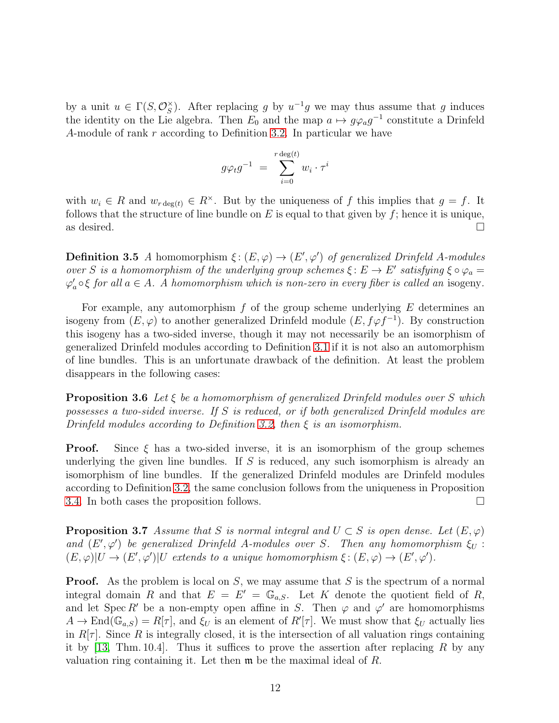by a unit  $u \in \Gamma(S, \mathcal{O}_S^{\times})$  $S(S)$ . After replacing g by  $u^{-1}g$  we may thus assume that g induces the identity on the Lie algebra. Then  $E_0$  and the map  $a \mapsto g \varphi_a g^{-1}$  constitute a Drinfeld A-module of rank r according to Definition [3.2.](#page-9-1) In particular we have

$$
g\varphi_t g^{-1} = \sum_{i=0}^{r \deg(t)} w_i \cdot \tau^i
$$

with  $w_i \in R$  and  $w_{r \deg(t)} \in R^{\times}$ . But by the uniqueness of f this implies that  $g = f$ . It follows that the structure of line bundle on  $E$  is equal to that given by  $f$ ; hence it is unique, as desired.  $\Box$ 

**Definition 3.5** A homomorphism  $\xi: (E, \varphi) \to (E', \varphi')$  of generalized Drinfeld A-modules over S is a homomorphism of the underlying group schemes  $\xi: E \to E'$  satisfying  $\xi \circ \varphi_a =$  $\varphi_a' \circ \xi$  for all  $a \in A$ . A homomorphism which is non-zero in every fiber is called an isogeny.

For example, any automorphism  $f$  of the group scheme underlying  $E$  determines an isogeny from  $(E, \varphi)$  to another generalized Drinfeld module  $(E, f\varphi f^{-1})$ . By construction this isogeny has a two-sided inverse, though it may not necessarily be an isomorphism of generalized Drinfeld modules according to Definition [3.1](#page-9-0) if it is not also an automorphism of line bundles. This is an unfortunate drawback of the definition. At least the problem disappears in the following cases:

**Proposition 3.6** Let  $\xi$  be a homomorphism of generalized Drinfeld modules over S which possesses a two-sided inverse. If S is reduced, or if both generalized Drinfeld modules are Drinfeld modules according to Definition [3.2,](#page-9-1) then  $\xi$  is an isomorphism.

**Proof.** Since  $\xi$  has a two-sided inverse, it is an isomorphism of the group schemes underlying the given line bundles. If  $S$  is reduced, any such isomorphism is already an isomorphism of line bundles. If the generalized Drinfeld modules are Drinfeld modules according to Definition [3.2,](#page-9-1) the same conclusion follows from the uniqueness in Proposition [3.4.](#page-10-0) In both cases the proposition follows.  $\Box$ 

<span id="page-11-0"></span>**Proposition 3.7** Assume that S is normal integral and  $U \subset S$  is open dense. Let  $(E, \varphi)$ and  $(E', \varphi')$  be generalized Drinfeld A-modules over S. Then any homomorphism  $\xi_U$ :  $(E, \varphi)|U \to (E', \varphi')|U$  extends to a unique homomorphism  $\xi : (E, \varphi) \to (E', \varphi').$ 

**Proof.** As the problem is local on  $S$ , we may assume that  $S$  is the spectrum of a normal integral domain R and that  $E = E' = \mathbb{G}_{a,S}$ . Let K denote the quotient field of R, and let Spec R' be a non-empty open affine in S. Then  $\varphi$  and  $\varphi'$  are homomorphisms  $A \to \text{End}(\mathbb{G}_{a,S}) = R[\tau]$ , and  $\xi_U$  is an element of  $R'[\tau]$ . We must show that  $\xi_U$  actually lies in  $R[\tau]$ . Since R is integrally closed, it is the intersection of all valuation rings containing it by [\[13,](#page-29-3) Thm. 10.4]. Thus it suffices to prove the assertion after replacing R by any valuation ring containing it. Let then m be the maximal ideal of R.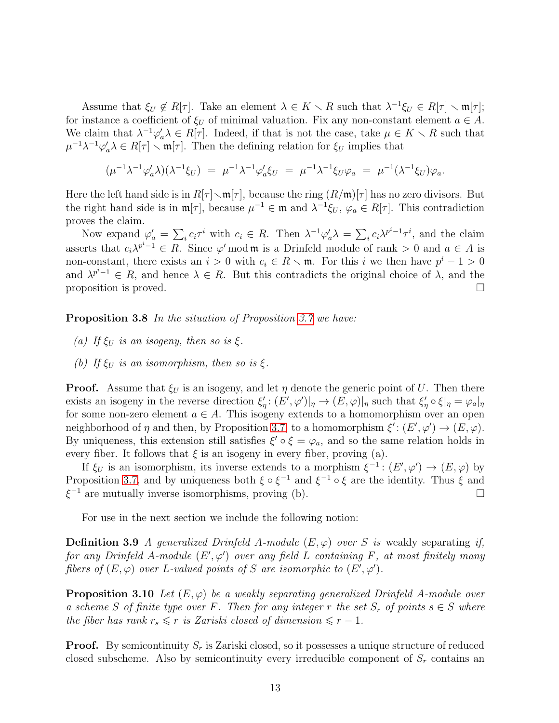Assume that  $\xi_U \notin R[\tau]$ . Take an element  $\lambda \in K \setminus R$  such that  $\lambda^{-1}\xi_U \in R[\tau] \setminus \mathfrak{m}[\tau]$ ; for instance a coefficient of  $\xi_U$  of minimal valuation. Fix any non-constant element  $a \in A$ . We claim that  $\lambda^{-1}\varphi'_a\lambda \in R[\tau]$ . Indeed, if that is not the case, take  $\mu \in K \setminus R$  such that  $\mu^{-1}\lambda^{-1}\varphi'_a\lambda \in R[\tau] \setminus \mathfrak{m}[\tau]$ . Then the defining relation for  $\xi_U$  implies that

$$
(\mu^{-1}\lambda^{-1}\varphi_a'\lambda)(\lambda^{-1}\xi_U) = \mu^{-1}\lambda^{-1}\varphi_a'\xi_U = \mu^{-1}\lambda^{-1}\xi_U\varphi_a = \mu^{-1}(\lambda^{-1}\xi_U)\varphi_a.
$$

Here the left hand side is in  $R[\tau] \setminus \mathfrak{m}[\tau]$ , because the ring  $(R/\mathfrak{m})[\tau]$  has no zero divisors. But the right hand side is in  $\mathfrak{m}[\tau]$ , because  $\mu^{-1} \in \mathfrak{m}$  and  $\lambda^{-1} \xi_U$ ,  $\varphi_a \in R[\tau]$ . This contradiction proves the claim.

Now expand  $\varphi'_a = \sum_i c_i \tau^i$  with  $c_i \in R$ . Then  $\lambda^{-1} \varphi'_a \lambda = \sum_i c_i \lambda^{p^i-1} \tau^i$ , and the claim asserts that  $c_i \lambda^{p^i-1} \in R$ . Since  $\varphi'$  mod **m** is a Drinfeld module of rank > 0 and  $a \in A$  is non-constant, there exists an  $i > 0$  with  $c_i \in R \setminus \mathfrak{m}$ . For this i we then have  $p^i - 1 > 0$ and  $\lambda^{p^{i-1}} \in R$ , and hence  $\lambda \in R$ . But this contradicts the original choice of  $\lambda$ , and the proposition is proved.  $\square$ 

<span id="page-12-1"></span>**Proposition 3.8** In the situation of Proposition [3.7](#page-11-0) we have:

- (a) If  $\xi_U$  is an isogeny, then so is  $\xi$ .
- (b) If  $\xi_U$  is an isomorphism, then so is  $\xi$ .

**Proof.** Assume that  $\xi_U$  is an isogeny, and let  $\eta$  denote the generic point of U. Then there exists an isogeny in the reverse direction  $\xi'_\eta: (E', \varphi')|_{\eta} \to (E, \varphi)|_{\eta}$  such that  $\xi'_\eta \circ \xi|_{\eta} = \varphi_a|_{\eta}$ for some non-zero element  $a \in A$ . This isogeny extends to a homomorphism over an open neighborhood of  $\eta$  and then, by Proposition [3.7,](#page-11-0) to a homomorphism  $\xi' : (E', \varphi') \to (E, \varphi)$ . By uniqueness, this extension still satisfies  $\xi' \circ \xi = \varphi_a$ , and so the same relation holds in every fiber. It follows that  $\xi$  is an isogeny in every fiber, proving (a).

If  $\xi_U$  is an isomorphism, its inverse extends to a morphism  $\xi^{-1}$ :  $(E', \varphi') \to (E, \varphi)$  by Proposition [3.7,](#page-11-0) and by uniqueness both  $\xi \circ \xi^{-1}$  and  $\xi^{-1} \circ \xi$  are the identity. Thus  $\xi$  and  $\xi^{-1}$  are mutually inverse isomorphisms, proving (b).  $\Box$ 

<span id="page-12-0"></span>For use in the next section we include the following notion:

**Definition 3.9** A generalized Drinfeld A-module  $(E, \varphi)$  over S is weakly separating if, for any Drinfeld A-module  $(E', \varphi')$  over any field L containing F, at most finitely many fibers of  $(E, \varphi)$  over L-valued points of S are isomorphic to  $(E', \varphi')$ .

<span id="page-12-2"></span>**Proposition 3.10** Let  $(E, \varphi)$  be a weakly separating generalized Drinfeld A-module over a scheme S of finite type over F. Then for any integer r the set  $S_r$  of points  $s \in S$  where the fiber has rank  $r_s \leq r$  is Zariski closed of dimension  $\leq r - 1$ .

**Proof.** By semicontinuity  $S_r$  is Zariski closed, so it possesses a unique structure of reduced closed subscheme. Also by semicontinuity every irreducible component of  $S_r$  contains an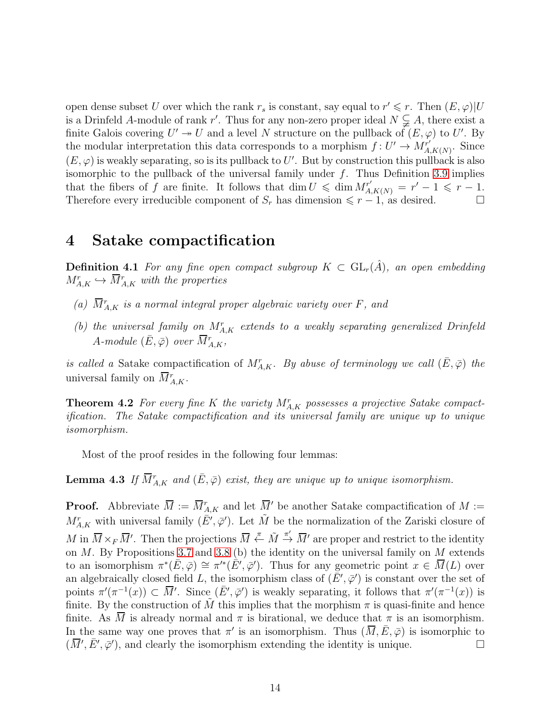open dense subset U over which the rank  $r_s$  is constant, say equal to  $r' \leq r$ . Then  $(E, \varphi)|U$ is a Drinfeld A-module of rank r'. Thus for any non-zero proper ideal  $N \subsetneq A$ , there exist a finite Galois covering  $U' \to U$  and a level N structure on the pullback of  $(E, \varphi)$  to  $U'$ . By the modular interpretation this data corresponds to a morphism  $f: U' \to M^{r'}_{A,K(N)}$ . Since  $(E, \varphi)$  is weakly separating, so is its pullback to U'. But by construction this pullback is also isomorphic to the pullback of the universal family under  $f$ . Thus Definition [3.9](#page-12-0) implies that the fibers of f are finite. It follows that dim  $U \n\leq \dim M_{A,K(N)}^{r'} = r' - 1 \leq r - 1$ . Therefore every irreducible component of  $S_r$  has dimension  $\leq r - 1$ , as desired.

#### 4 Satake compactification

<span id="page-13-2"></span>**Definition 4.1** For any fine open compact subgroup  $K \subset GL_r(\hat{A})$ , an open embedding  $M_{A,K}^r \hookrightarrow \overline{M}_{A,K}^r$  with the properties

- (a)  $\overline{M}_{A,K}^{r}$  is a normal integral proper algebraic variety over F, and
- (b) the universal family on  $M_{A,K}^r$  extends to a weakly separating generalized Drinfeld  $A\textit{-module } (\bar{E}, \bar{\varphi}) \textit{ over } \overline{M}^r_{A,K},$

is called a Satake compactification of  $M_{A,K}^r$ . By abuse of terminology we call  $(\bar{E}, \bar{\varphi})$  the universal family on  $\overline{M}^r_{A,K}$ .

<span id="page-13-0"></span>**Theorem 4.2** For every fine K the variety  $M_{A,K}^r$  possesses a projective Satake compactification. The Satake compactification and its universal family are unique up to unique isomorphism.

<span id="page-13-1"></span>Most of the proof resides in the following four lemmas:

**Lemma 4.3** If  $\overline{M}_{A,K}^r$  and  $(\overline{E}, \overline{\varphi})$  exist, they are unique up to unique isomorphism.

<span id="page-13-3"></span>**Proof.** Abbreviate  $\overline{M} := \overline{M}_{A,K}^r$  and let  $\overline{M}'$  be another Satake compactification of  $M :=$  $M_{A,K}^r$  with universal family  $(\bar{E}', \bar{\varphi}')$ . Let  $\tilde{M}$  be the normalization of the Zariski closure of M in  $\overline{M} \times_F \overline{M}'$ . Then the projections  $\overline{M} \stackrel{\pi}{\leftarrow} \tilde{M} \stackrel{\pi'}{\rightarrow} \overline{M}'$  are proper and restrict to the identity on  $M$ . By Propositions [3.7](#page-11-0) and [3.8](#page-12-1) (b) the identity on the universal family on  $M$  extends to an isomorphism  $\pi^*(\bar{E}, \bar{\varphi}) \cong \pi'^*(\bar{E}', \bar{\varphi}')$ . Thus for any geometric point  $x \in \bar{M}(L)$  over an algebraically closed field L, the isomorphism class of  $(\bar{E}', \bar{\varphi}')$  is constant over the set of points  $\pi'(\pi^{-1}(x)) \subset \overline{M}'$ . Since  $(\overline{E}', \overline{\varphi}')$  is weakly separating, it follows that  $\pi'(\pi^{-1}(x))$  is finite. By the construction of M this implies that the morphism  $\pi$  is quasi-finite and hence finite. As  $\overline{M}$  is already normal and  $\pi$  is birational, we deduce that  $\pi$  is an isomorphism. In the same way one proves that  $\pi'$  is an isomorphism. Thus  $(\overline{M}, \overline{E}, \overline{\varphi})$  is isomorphic to  $(\overline{M}', \overline{E}', \overline{\varphi}')$ , and clearly the isomorphism extending the identity is unique.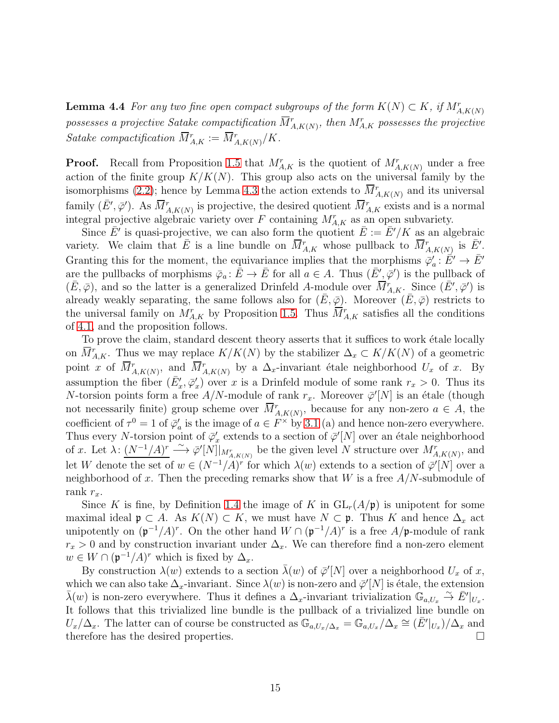**Lemma 4.4** For any two fine open compact subgroups of the form  $K(N) \subset K$ , if  $M_{A,K(N)}^r$ possesses a projective Satake compactification  $\overline{M}^r_{A,K(N)},$  then  $M^r_{A,K}$  possesses the projective Satake compactification  $\overline{M}_{A,K}^r := \overline{M}_{A,K(N)}^r/K$ .

**Proof.** Recall from Proposition [1.5](#page-3-2) that  $M_{A,K}^r$  is the quotient of  $M_{A,K(N)}^r$  under a free action of the finite group  $K/K(N)$ . This group also acts on the universal family by the isomorphisms [\(2.2\)](#page-4-2); hence by Lemma [4.3](#page-13-1) the action extends to  $\overline{M}^r_{A,K(N)}$  and its universal family  $(\bar{E}', \bar{\varphi}')$ . As  $\bar{M}^r_{A,K(N)}$  is projective, the desired quotient  $\bar{M}^r_{A,K}$  exists and is a normal integral projective algebraic variety over  $F$  containing  $M_{A,K}^r$  as an open subvariety.

Since  $\bar{E}'$  is quasi-projective, we can also form the quotient  $\bar{E} := \bar{E}'/K$  as an algebraic variety. We claim that  $\overline{E}$  is a line bundle on  $\overline{M}_{A,K}^r$  whose pullback to  $\overline{M}_{A,K(N)}^r$  is  $\overline{E}'$ . Granting this for the moment, the equivariance implies that the morphisms  $\bar{\varphi}'_a : \bar{E}' \to \bar{E}'$ are the pullbacks of morphisms  $\bar{\varphi}_a : \bar{E} \to \bar{E}$  for all  $a \in A$ . Thus  $(\bar{E}', \bar{\varphi}')$  is the pullback of  $(\bar{E}, \bar{\varphi})$ , and so the latter is a generalized Drinfeld A-module over  $\overline{M}^r_{A,K}$ . Since  $(\bar{E}', \bar{\varphi}')$  is already weakly separating, the same follows also for  $(E, \overline{\varphi})$ . Moreover  $(E, \overline{\varphi})$  restricts to the universal family on  $M_{A,K}^r$  by Proposition [1.5.](#page-3-2) Thus  $\overline{M}_{A,K}^r$  satisfies all the conditions of [4.1,](#page-13-2) and the proposition follows.

To prove the claim, standard descent theory asserts that it suffices to work étale locally on  $\overline{M}_{A,K}^r$ . Thus we may replace  $K/K(N)$  by the stabilizer  $\Delta_x \subset K/K(N)$  of a geometric point x of  $\overline{M}_{A,K(N)}^r$ , and  $\overline{M}_{A,K(N)}^r$  by a  $\Delta_x$ -invariant étale neighborhood  $U_x$  of x. By assumption the fiber  $(\bar{E}'_x, \bar{\varphi}'_x)$  over x is a Drinfeld module of some rank  $r_x > 0$ . Thus its N-torsion points form a free  $A/N$ -module of rank  $r_x$ . Moreover  $\bar{\varphi}'[N]$  is an étale (though not necessarily finite) group scheme over  $\overline{M}_{A,K(N)}^r$ , because for any non-zero  $a \in A$ , the coefficient of  $\tau^0 = 1$  of  $\bar{\varphi}'_a$  is the image of  $a \in F^\times$  by [3.1](#page-9-0) (a) and hence non-zero everywhere. Thus every N-torsion point of  $\bar{\varphi}'_x$  extends to a section of  $\bar{\varphi}'[N]$  over an étale neighborhood of x. Let  $\lambda: (N^{-1}/A)^r \longrightarrow \varphi'[N] \vert_{M^r_{A,K(N)}}$  be the given level N structure over  $M^r_{A,K(N)}$ , and let W denote the set of  $w \in (N^{-1}/A)^r$  for which  $\lambda(w)$  extends to a section of  $\overline{\varphi}'[N]$  over a neighborhood of x. Then the preceding remarks show that  $W$  is a free  $A/N$ -submodule of rank  $r_x$ .

Since K is fine, by Definition [1.4](#page-3-1) the image of K in  $GL_r(A/\mathfrak{p})$  is unipotent for some maximal ideal  $\mathfrak{p} \subset A$ . As  $K(N) \subset K$ , we must have  $N \subset \mathfrak{p}$ . Thus K and hence  $\Delta_x$  act unipotently on  $(\mathfrak{p}^{-1}/A)^r$ . On the other hand  $W \cap (\mathfrak{p}^{-1}/A)^r$  is a free  $A/\mathfrak{p}$ -module of rank  $r_x > 0$  and by construction invariant under  $\Delta_x$ . We can therefore find a non-zero element  $w \in W \cap (\mathfrak{p}^{-1}/A)^r$  which is fixed by  $\Delta_x$ .

<span id="page-14-0"></span>By construction  $\lambda(w)$  extends to a section  $\bar{\lambda}(w)$  of  $\bar{\varphi}'[N]$  over a neighborhood  $U_x$  of x, which we can also take  $\Delta_x$ -invariant. Since  $\lambda(w)$  is non-zero and  $\bar{\varphi}'[N]$  is étale, the extension  $\bar{\lambda}(w)$  is non-zero everywhere. Thus it defines a  $\Delta_x$ -invariant trivialization  $\mathbb{G}_{a,U_x} \overset{\sim}{\to} \bar{E}'|_{U_x}$ . It follows that this trivialized line bundle is the pullback of a trivialized line bundle on  $U_x/\Delta_x$ . The latter can of course be constructed as  $\mathbb{G}_{a,U_x/\Delta_x} = \mathbb{G}_{a,U_x}/\Delta_x \cong (\bar{E}'|_{U_x})/\Delta_x$  and therefore has the desired properties.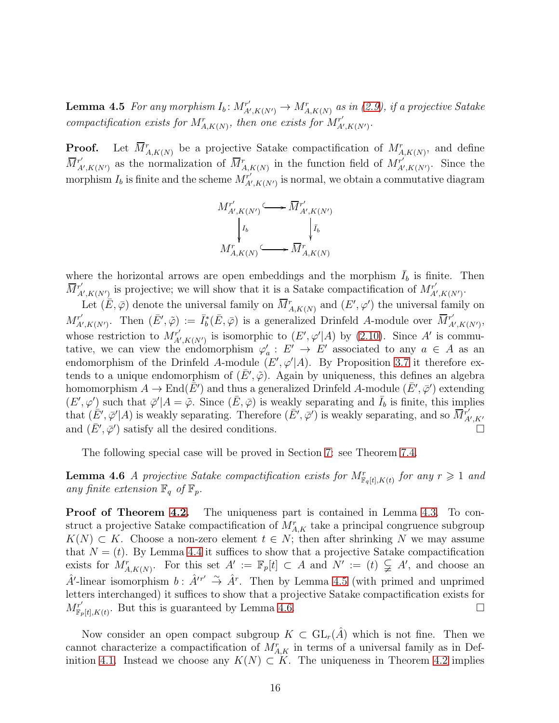**Lemma 4.5** For any morphism  $I_b$ :  $M_A^{r'}$  $A'_{A',K(N')}$   $\rightarrow$   $M^{r}_{A,K(N)}$  as in [\(2.9\)](#page-7-1), if a projective Satake compactification exists for  $M^r_{A,K(N)}$ , then one exists for  $M^{r'}_{A'}$  $\stackrel{\cdot r'}{A'},\stackrel{\cdot}{K}(N')$  .

**Proof.** Let  $\overline{M}_{A,K(N)}^r$  be a projective Satake compactification of  $M_{A,K(N)}^r$ , and define  $\overline{M}^{r'}_{A}$  $\overline{M}^r_{A',K(N')}$  as the normalization of  $\overline{M}^r_{A,K(N)}$  in the function field of  $M^{r'}_{A'}$  $A', K(N')$ . Since the morphism  $I_b$  is finite and the scheme  $M_{A'}^{r'}$  $\mathcal{L}_{A',K(N')}^{r'}$  is normal, we obtain a commutative diagram

$$
M^{r'}_{A',K(N')} \longleftrightarrow \overline{M}^{r'}_{A',K(N')}
$$

$$
\downarrow I_b \qquad \qquad \downarrow \overline{I_b}
$$

$$
M^{r}_{A,K(N)} \longleftrightarrow \overline{M}^{r}_{A,K(N)}
$$

where the horizontal arrows are open embeddings and the morphism  $\bar{I}_b$  is finite. Then  $\overline{M}^{r'}_{A}$  $X'_{A',K(N')}$  is projective; we will show that it is a Satake compactification of  $M_{A'}^{r'}$  $\stackrel{\cdot r'}{A'},\stackrel{\cdot}{K}(N')$  .

Let  $(E, \bar{\varphi})$  denote the universal family on  $\overline{M}^r_{A, K(N)}$  and  $(E', \varphi')$  the universal family on  $M_A^{r'}$  $\bar{A}'_{A',K(N')}$ . Then  $(\bar{E}', \tilde{\varphi}) := \bar{I}_{b}^{*}(\bar{E}, \bar{\varphi})$  is a generalized Drinfeld A-module over  $\bar{M}_{A}^{r'}$  $_{A^{\prime},K(N^{\prime})}^{r^{\prime}},$ whose restriction to  $M_{A}^{r'}$  $K'_{A',K(N')}$  is isomorphic to  $(E',\varphi'|A)$  by  $(2.10)$ . Since A' is commutative, we can view the endomorphism  $\varphi_a': E' \to E'$  associated to any  $a \in A$  as an endomorphism of the Drinfeld A-module  $(E', \varphi' | A)$ . By Proposition [3.7](#page-11-0) it therefore extends to a unique endomorphism of  $(\bar{E}', \tilde{\varphi})$ . Again by uniqueness, this defines an algebra homomorphism  $A \to \text{End}(\bar{E}')$  and thus a generalized Drinfeld A-module  $(\bar{E}', \bar{\varphi}')$  extending  $(E', \varphi')$  such that  $\bar{\varphi}'|A = \tilde{\varphi}$ . Since  $(\bar{E}, \bar{\varphi})$  is weakly separating and  $\bar{I}_b$  is finite, this implies that  $(E', \bar{\varphi}' | A)$  is weakly separating. Therefore  $(\bar{E}', \bar{\varphi}')$  is weakly separating, and so  $\bar{M}^r_A$ A′ ,K′ and  $(\bar{E}', \bar{\varphi}')$  satisfy all the desired conditions.

<span id="page-15-0"></span>The following special case will be proved in Section [7:](#page-23-0) see Theorem [7.4.](#page-25-0)

**Lemma 4.6** A projective Satake compactification exists for  $M_{\mathbb{F}_q[t],K(t)}^r$  for any  $r \geq 1$  and any finite extension  $\mathbb{F}_q$  of  $\mathbb{F}_p$ .

Proof of Theorem [4.2.](#page-13-0) The uniqueness part is contained in Lemma [4.3.](#page-13-1) To construct a projective Satake compactification of  $M_{A,K}^r$  take a principal congruence subgroup  $K(N) \subset K$ . Choose a non-zero element  $t \in N$ ; then after shrinking N we may assume that  $N = (t)$ . By Lemma [4.4](#page-13-3) it suffices to show that a projective Satake compactification exists for  $M^r_{A,K(N)}$ . For this set  $A' := \mathbb{F}_p[t] \subset A$  and  $N' := (t) \subsetneq A'$ , and choose an  $\hat{A}'$ -linear isomorphism  $b: \hat{A}'^{r'} \stackrel{\sim}{\rightarrow} \hat{A}^r$ . Then by Lemma [4.5](#page-14-0) (with primed and unprimed letters interchanged) it suffices to show that a projective Satake compactification exists for  $M^{r'}_{\mathbb{F}_2}$  $F_{\mathbb{F}_p[t],K(t)}^{\mathbb{F}_r}$ . But this is guaranteed by Lemma [4.6.](#page-15-0)

Now consider an open compact subgroup  $K \subset GL_r(A)$  which is not fine. Then we cannot characterize a compactification of  $M_{A,K}^r$  in terms of a universal family as in Def-inition [4.1.](#page-13-2) Instead we choose any  $K(N) \subset K$ . The uniqueness in Theorem [4.2](#page-13-0) implies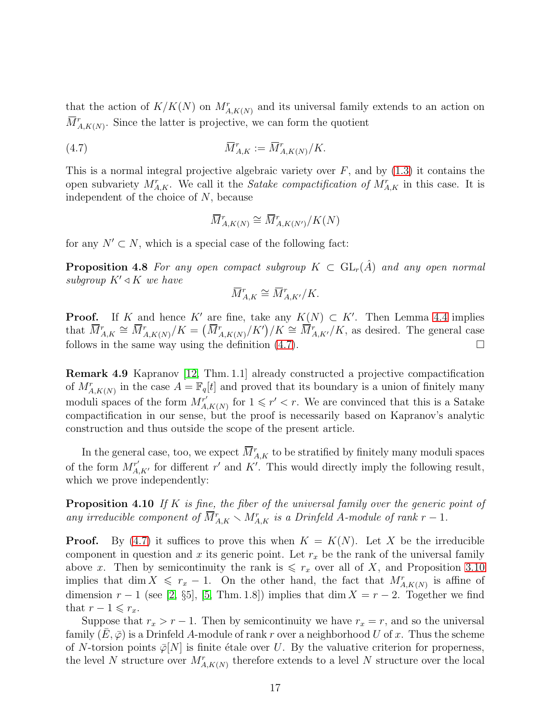that the action of  $K/K(N)$  on  $M_{A,K(N)}^r$  and its universal family extends to an action on  $\overline{M}_{A,K(N)}^{r}$ . Since the latter is projective, we can form the quotient

(4.7) 
$$
\overline{M}^r_{A,K} := \overline{M}^r_{A,K(N)}/K.
$$

This is a normal integral projective algebraic variety over  $F$ , and by  $(1.3)$  it contains the open subvariety  $M_{A,K}^r$ . We call it the *Satake compactification of*  $M_{A,K}^r$  in this case. It is independent of the choice of N, because

<span id="page-16-0"></span>
$$
\overline{M}^r_{A,K(N)} \cong \overline{M}^r_{A,K(N')}/K(N)
$$

<span id="page-16-1"></span>for any  $N' \subset N$ , which is a special case of the following fact:

**Proposition 4.8** For any open compact subgroup  $K \subset GL_r(\hat{A})$  and any open normal subgroup  $K' \triangleleft K$  we have

$$
\overline{M}^r_{A,K}\cong \overline{M}^r_{A,K'}/K.
$$

**Proof.** If K and hence K' are fine, take any  $K(N) \subset K'$ . Then Lemma [4.4](#page-13-3) implies that  $\overline{M}_{A,K}^{r} \cong \overline{M}_{A,K(N)}^{r}/K = (\overline{M}_{A,K(N)}^{r}/K')/K \cong \overline{M}_{A,K'}^{r}/K$ , as desired. The general case follows in the same way using the definition  $(4.7)$ .

Remark 4.9 Kapranov [\[12,](#page-29-0) Thm. 1.1] already constructed a projective compactification of  $M_{A,K(N)}^r$  in the case  $A = \mathbb{F}_q[t]$  and proved that its boundary is a union of finitely many moduli spaces of the form  $M_A^{r'}$  $\chi^{r'}_{A,K(N)}$  for  $1 \leqslant r' < r$ . We are convinced that this is a Satake compactification in our sense, but the proof is necessarily based on Kapranov's analytic construction and thus outside the scope of the present article.

In the general case, too, we expect  $\overline{M}_{A,K}^r$  to be stratified by finitely many moduli spaces of the form  $M^{r'}_{A,K'}$  for different r' and K'. This would directly imply the following result, which we prove independently:

**Proposition 4.10** If K is fine, the fiber of the universal family over the generic point of any irreducible component of  $\overline{M}_{A,K}^r \setminus M_{A,K}^r$  is a Drinfeld A-module of rank  $r-1$ .

**Proof.** By [\(4.7\)](#page-16-0) it suffices to prove this when  $K = K(N)$ . Let X be the irreducible component in question and x its generic point. Let  $r_x$  be the rank of the universal family above x. Then by semicontinuity the rank is  $\leq r_x$  over all of X, and Proposition [3.10](#page-12-2) implies that dim  $X \leq r_x - 1$ . On the other hand, the fact that  $M_{A,K(N)}^r$  is affine of dimension  $r-1$  (see [\[2,](#page-28-6) §5], [\[5,](#page-28-7) Thm. 1.8]) implies that dim  $X = r-2$ . Together we find that  $r - 1 \leqslant r_x$ .

Suppose that  $r_x > r - 1$ . Then by semicontinuity we have  $r_x = r$ , and so the universal family  $(E, \overline{\varphi})$  is a Drinfeld A-module of rank r over a neighborhood U of x. Thus the scheme of N-torsion points  $\overline{\varphi}[N]$  is finite étale over U. By the valuative criterion for properness, the level N structure over  $M_{A,K(N)}^r$  therefore extends to a level N structure over the local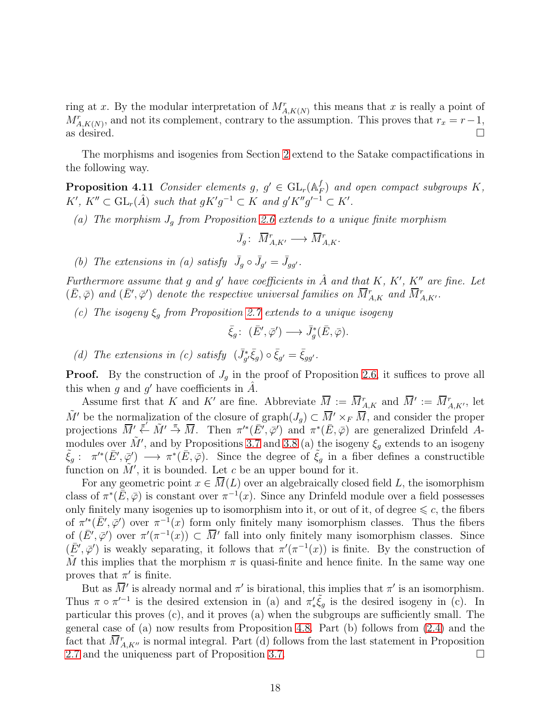ring at x. By the modular interpretation of  $M^r_{A,K(N)}$  this means that x is really a point of  $M_{A,K(N)}^r$ , and not its complement, contrary to the assumption. This proves that  $r_x = r-1$ , as desired.  $\Box$ 

<span id="page-17-0"></span>The morphisms and isogenies from Section [2](#page-4-3) extend to the Satake compactifications in the following way.

Proposition 4.11 Consider elements  $g, g' \in GL_r(\mathbb{A}_F^f)$  $_{F}^{J}$ ) and open compact subgroups  $K,$  $K', K'' \subset \mathrm{GL}_r(\hat{A})$  such that  $gK'g^{-1} \subset K$  and  $g'K''g'^{-1} \subset K'.$ 

(a) The morphism  $J_q$  from Proposition [2.6](#page-5-2) extends to a unique finite morphism

$$
\bar{J}_g\colon\; \overline{M}^r_{A,K'} \longrightarrow \overline{M}^r_{A,K}.
$$

(b) The extensions in (a) satisfy  $\bar{J}_g \circ \bar{J}_{g'} = \bar{J}_{gg'}$ .

Furthermore assume that g and g' have coefficients in  $\hat{A}$  and that K, K', K'' are fine. Let  $(\bar{E}, \bar{\varphi})$  and  $(\bar{E}', \bar{\varphi}')$  denote the respective universal families on  $\overline{M}^r_{A,K}$  and  $\overline{M}^r_{A,K'}$ .

(c) The isogeny  $\xi_g$  from Proposition [2.7](#page-6-0) extends to a unique isogeny

$$
\bar{\xi}_g\colon\ (\bar{E}',\bar{\varphi}') \longrightarrow \bar{J}^*_g(\bar{E},\bar{\varphi}).
$$

(d) The extensions in (c) satisfy  $(\bar{J}_{g'}^* \bar{\xi}_g) \circ \bar{\xi}_{g'} = \bar{\xi}_{gg'}$ .

**Proof.** By the construction of  $J<sub>g</sub>$  in the proof of Proposition [2.6,](#page-5-2) it suffices to prove all this when g and g' have coefficients in  $\hat{A}$ .

Assume first that K and K' are fine. Abbreviate  $\overline{M} := \overline{M}_{A,K}^r$  and  $\overline{M}' := \overline{M}_{A,K'}^r$ , let  $\tilde{M}'$  be the normalization of the closure of graph $(J_q) \subset \overline{M}' \times_F \overline{M}$ , and consider the proper projections  $\overline{M}' \stackrel{\pi'}{\leftarrow} \tilde{M}' \stackrel{\pi}{\rightarrow} \overline{M}$ . Then  $\pi'^*(\overline{E}', \overline{\varphi}')$  and  $\pi^*(\overline{E}, \overline{\varphi})$  are generalized Drinfeld Amodules over  $\tilde{M}'$ , and by Propositions [3.7](#page-11-0) and [3.8](#page-12-1) (a) the isogeny  $\xi_g$  extends to an isogeny  $\tilde{\xi}_g: \pi'^*(\bar{E}', \bar{\varphi}') \longrightarrow \pi^*(\bar{E}, \bar{\varphi})$ . Since the degree of  $\tilde{\xi}_g$  in a fiber defines a constructible function on  $\tilde{M}'$ , it is bounded. Let c be an upper bound for it.

For any geometric point  $x \in \overline{M}(L)$  over an algebraically closed field L, the isomorphism class of  $\pi^*(\bar{E}, \bar{\varphi})$  is constant over  $\pi^{-1}(x)$ . Since any Drinfeld module over a field possesses only finitely many isogenies up to isomorphism into it, or out of it, of degree  $\leq c$ , the fibers of  $\pi'^*(\bar{E}', \bar{\varphi}')$  over  $\pi^{-1}(x)$  form only finitely many isomorphism classes. Thus the fibers of  $(\bar{E}', \bar{\varphi}')$  over  $\pi'(\pi^{-1}(x)) \subset \bar{M}'$  fall into only finitely many isomorphism classes. Since  $(\bar{E}', \bar{\varphi}')$  is weakly separating, it follows that  $\pi'(\pi^{-1}(x))$  is finite. By the construction of M this implies that the morphism  $\pi$  is quasi-finite and hence finite. In the same way one proves that  $\pi'$  is finite.

<span id="page-17-1"></span>But as  $\overline{M}'$  is already normal and  $\pi'$  is birational, this implies that  $\pi'$  is an isomorphism. Thus  $\pi \circ \pi'^{-1}$  is the desired extension in (a) and  $\pi'_*\tilde{\xi}_g$  is the desired isogeny in (c). In particular this proves (c), and it proves (a) when the subgroups are sufficiently small. The general case of (a) now results from Proposition [4.8.](#page-16-1) Part (b) follows from [\(2.4\)](#page-5-0) and the fact that  $\overline{M}_{A,K''}^r$  is normal integral. Part (d) follows from the last statement in Proposition [2.7](#page-6-0) and the uniqueness part of Proposition [3.7.](#page-11-0)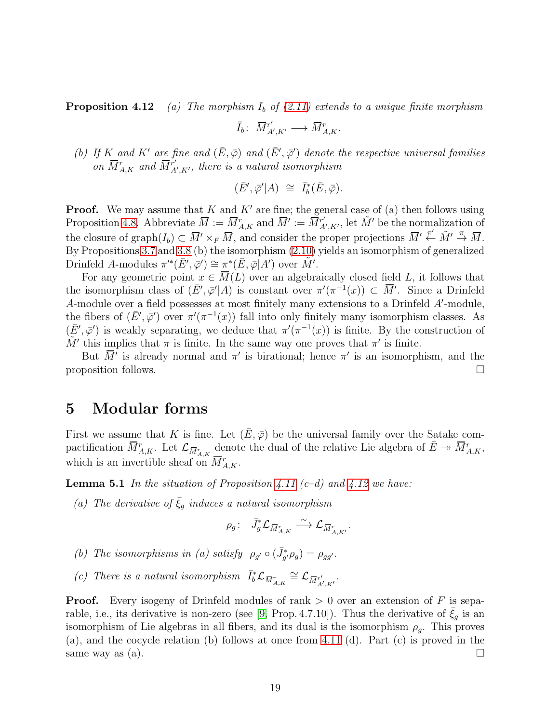**Proposition 4.12** (a) The morphism  $I<sub>b</sub>$  of [\(2.11\)](#page-7-0) extends to a unique finite morphism

$$
\bar{I}_b\colon\; \overline{M}^{r'}_{A',K'}\longrightarrow \overline{M}^r_{A,K}.
$$

(b) If K and K' are fine and  $(\bar{E}, \bar{\varphi})$  and  $(\bar{E}', \bar{\varphi}')$  denote the respective universal families on  $\overline{M}^r_{A,K}$  and  $\overline{M}^{r'}_{A}$  $_{A^{\prime},K^{\prime}}^{r^{\prime}},$  there is a natural isomorphism

$$
(\bar{E}', \bar{\varphi}'|A) \cong \bar{I}_b^*(\bar{E}, \bar{\varphi}).
$$

**Proof.** We may assume that K and K' are fine; the general case of (a) then follows using Proposition [4.8.](#page-16-1) Abbreviate  $\overline{M} := \overline{M}_{A,K}^r$  and  $\overline{M}' := \overline{M}_{A}^{r'}$  $\tilde{M}'$ , let  $\tilde{M}'$  be the normalization of the closure of graph $(I_b) \subset \overline{M}' \times_F \overline{M}$ , and consider the proper projections  $\overline{M}' \stackrel{\pi'}{\leftarrow} \tilde{M}' \stackrel{\pi}{\rightarrow} \overline{M}$ . By Propositions [3.7](#page-11-0) and [3.8](#page-12-1) (b) the isomorphism [\(2.10\)](#page-7-2) yields an isomorphism of generalized Drinfeld A-modules  $\pi'^*(\bar{E}', \bar{\varphi}') \cong \pi^*(\bar{E}, \bar{\varphi}|A')$  over  $\tilde{M}'$ .

For any geometric point  $x \in \overline{M}(L)$  over an algebraically closed field L, it follows that the isomorphism class of  $(\bar{E}', \bar{\varphi}' | A)$  is constant over  $\pi'(\pi^{-1}(x)) \subset \bar{M}'$ . Since a Drinfeld A-module over a field possesses at most finitely many extensions to a Drinfeld A'-module, the fibers of  $(\bar{E}', \bar{\varphi}')$  over  $\pi'(\pi^{-1}(x))$  fall into only finitely many isomorphism classes. As  $(\bar{E}', \bar{\varphi}')$  is weakly separating, we deduce that  $\pi'(\pi^{-1}(x))$  is finite. By the construction of  $\tilde{M}'$  this implies that  $\pi$  is finite. In the same way one proves that  $\pi'$  is finite.

But  $\overline{M}'$  is already normal and  $\pi'$  is birational; hence  $\pi'$  is an isomorphism, and the proposition follows.  $\Box$ 

#### <span id="page-18-1"></span>5 Modular forms

First we assume that K is fine. Let  $(E, \overline{\varphi})$  be the universal family over the Satake compactification  $\overline{M}^r_{A,K}$ . Let  $\mathcal{L}_{\overline{M}^r_{A,K}}$  denote the dual of the relative Lie algebra of  $\overline{E} \twoheadrightarrow \overline{M}^r_{A,K}$ , which is an invertible sheaf on  $\overline{M}^r_{A,K}$ .

<span id="page-18-0"></span>**Lemma 5.1** In the situation of Proposition [4.11](#page-17-0)  $(c-d)$  and [4.12](#page-17-1) we have:

(a) The derivative of  $\bar{\xi}_g$  induces a natural isomorphism

$$
\rho_g\colon\quad \bar{J}_g^*\mathcal{L}_{\overline{M}^r_{A,K}} \stackrel{\sim}{\longrightarrow} \mathcal{L}_{\overline{M}^r_{A,K'}}.
$$

- (b) The isomorphisms in (a) satisfy  $\rho_{g'} \circ (\bar{J}_{g'}^* \rho_g) = \rho_{gg'}$ .
- (c) There is a natural isomorphism  $\bar{I}_b^* \mathcal{L}_{\overline{M}_{A,K}^r} \cong \mathcal{L}_{\overline{M}_{A',K'}^r}$ .

**Proof.** Every isogeny of Drinfeld modules of rank  $> 0$  over an extension of F is sepa-rable, i.e., its derivative is non-zero (see [\[9,](#page-28-9) Prop. 4.7.10]). Thus the derivative of  $\xi_q$  is an isomorphism of Lie algebras in all fibers, and its dual is the isomorphism  $\rho_q$ . This proves (a), and the cocycle relation (b) follows at once from [4.11](#page-17-0) (d). Part (c) is proved in the same way as (a).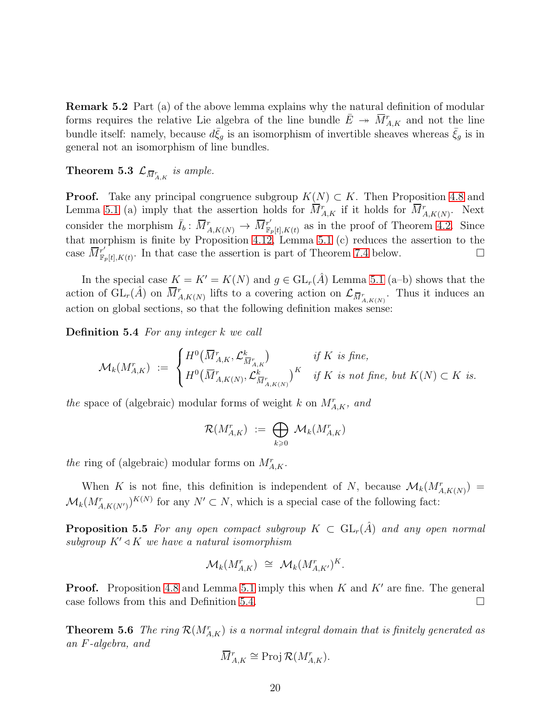Remark 5.2 Part (a) of the above lemma explains why the natural definition of modular forms requires the relative Lie algebra of the line bundle  $\bar{E} \rightarrow \overline{M}_{A,K}^r$  and not the line bundle itself: namely, because  $d\bar{\xi}_g$  is an isomorphism of invertible sheaves whereas  $\bar{\xi}_g$  is in general not an isomorphism of line bundles.

**Theorem 5.3**  $\mathcal{L}_{\overline{M}^r_{A,K}}$  is ample.

**Proof.** Take any principal congruence subgroup  $K(N) \subset K$ . Then Proposition [4.8](#page-16-1) and Lemma [5.1](#page-18-0) (a) imply that the assertion holds for  $\overline{M}_{A,K}^r$  if it holds for  $\overline{M}_{A,K(N)}^r$ . Next consider the morphism  $\bar{I}_b: \,\overline{M}^r_{A,K(N)} \to \,\overline{M}^{r'}_{\mathbb{F}_p}$  $F_{\mathbb{F}_p[t],K(t)}$  as in the proof of Theorem [4.2.](#page-13-0) Since that morphism is finite by Proposition [4.12,](#page-17-1) Lemma [5.1](#page-18-0) (c) reduces the assertion to the case  $\overline{M}_{\mathbb{F}_2}^{r'}$  $F_{\mathbb{F}_p[t],K(t)}^{\mathbb{F}_r}$ . In that case the assertion is part of Theorem [7.4](#page-25-0) below.

In the special case  $K = K' = K(N)$  and  $g \in GL_r(\hat{A})$  Lemma [5.1](#page-18-0) (a–b) shows that the action of  $GL_r(\hat{A})$  on  $\overline{M}_{A,K(N)}^r$  lifts to a covering action on  $\mathcal{L}_{\overline{M}_{A,K(N)}^r}$ . Thus it induces an action on global sections, so that the following definition makes sense:

<span id="page-19-0"></span>Definition 5.4 For any integer k we call

$$
\mathcal{M}_k(M_{A,K}^r) := \begin{cases} H^0(\overline{M}_{A,K}^r, \mathcal{L}_{\overline{M}_{A,K}^r}^k) & \text{if } K \text{ is fine,} \\ H^0(\overline{M}_{A,K(N)}^r, \mathcal{L}_{\overline{M}_{A,K(N)}^r}^k)^K & \text{if } K \text{ is not fine, but } K(N) \subset K \text{ is.} \end{cases}
$$

the space of (algebraic) modular forms of weight k on  $M_{A,K}^r$ , and

$$
\mathcal{R}(M_{A,K}^r) \ := \ \bigoplus_{k \geqslant 0} \ \mathcal{M}_k(M_{A,K}^r)
$$

the ring of (algebraic) modular forms on  $M_{A,K}^r$ .

<span id="page-19-1"></span>When K is not fine, this definition is independent of N, because  $\mathcal{M}_k(M^r_{A,K(N)}) =$  $\mathcal{M}_k(M^r_{A,K(N')})^{K(N)}$  for any  $N' \subset N$ , which is a special case of the following fact:

**Proposition 5.5** For any open compact subgroup  $K \subset GL_r(\hat{A})$  and any open normal subgroup  $K' \triangleleft K$  we have a natural isomorphism

$$
\mathcal{M}_k(M_{A,K}^r) \cong \mathcal{M}_k(M_{A,K'}^r)^K.
$$

**Proof.** Proposition [4.8](#page-16-1) and Lemma [5.1](#page-18-0) imply this when K and  $K'$  are fine. The general case follows from this and Definition [5.4.](#page-19-0)  $\Box$ 

**Theorem 5.6** The ring  $\mathcal{R}(M_{A,K}^r)$  is a normal integral domain that is finitely generated as an F-algebra, and

$$
\overline{M}^r_{A,K} \cong \text{Proj } \mathcal{R}(M^r_{A,K}).
$$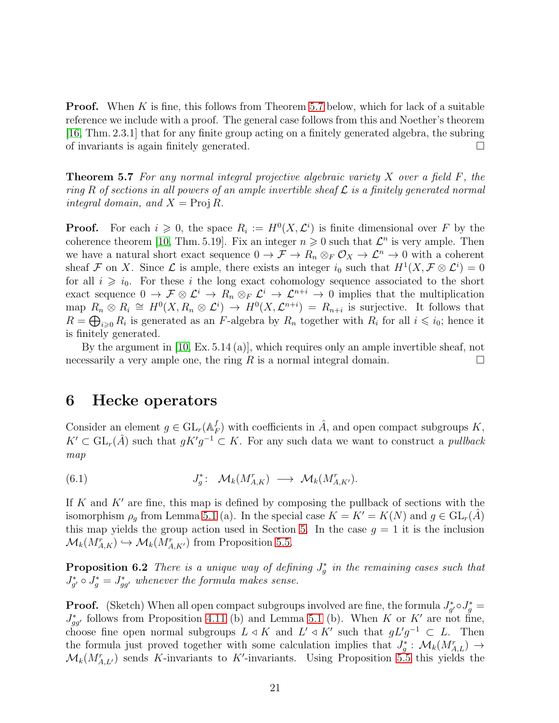**Proof.** When K is fine, this follows from Theorem [5.7](#page-20-0) below, which for lack of a suitable reference we include with a proof. The general case follows from this and Noether's theorem [\[16,](#page-29-4) Thm. 2.3.1] that for any finite group acting on a finitely generated algebra, the subring of invariants is again finitely generated.

<span id="page-20-0"></span>**Theorem 5.7** For any normal integral projective algebraic variety X over a field  $F$ , the ring R of sections in all powers of an ample invertible sheaf  $\mathcal L$  is a finitely generated normal integral domain, and  $X = \text{Proj } R$ .

**Proof.** For each  $i \geq 0$ , the space  $R_i := H^0(X, \mathcal{L}^i)$  is finite dimensional over F by the coherence theorem [\[10,](#page-28-8) Thm. 5.19]. Fix an integer  $n \geq 0$  such that  $\mathcal{L}^n$  is very ample. Then we have a natural short exact sequence  $0 \to \mathcal{F} \to R_n \otimes_F \mathcal{O}_X \to \mathcal{L}^n \to 0$  with a coherent sheaf F on X. Since L is ample, there exists an integer  $i_0$  such that  $H^1(X, \mathcal{F} \otimes \mathcal{L}^i) = 0$ for all  $i \geq i_0$ . For these i the long exact cohomology sequence associated to the short exact sequence  $0 \to \mathcal{F} \otimes \mathcal{L}^i \to R_n \otimes_F \mathcal{L}^i \to \mathcal{L}^{n+i} \to 0$  implies that the multiplication map  $R_n \otimes R_i \cong H^0(X, R_n \otimes L^i) \to H^0(X, L^{n+i}) = R_{n+i}$  is surjective. It follows that  $R = \bigoplus_{i \geq 0} R_i$  is generated as an F-algebra by  $R_n$  together with  $R_i$  for all  $i \leq i_0$ ; hence it is finitely generated.

By the argument in [\[10,](#page-28-8) Ex. 5.14 (a)], which requires only an ample invertible sheaf, not necessarily a very ample one, the ring R is a normal integral domain.  $\square$ 

#### 6 Hecke operators

Consider an element  $g \in GL_r(\mathbb{A}_P^f)$  $_{F}^{f}$ ) with coefficients in  $\hat{A}$ , and open compact subgroups K,  $K' \subset GL_r(\hat{A})$  such that  $gK'g^{-1} \subset K$ . For any such data we want to construct a *pullback* map

<span id="page-20-1"></span>(6.1) 
$$
J_g^* \colon \mathcal{M}_k(M_{A,K}^r) \longrightarrow \mathcal{M}_k(M_{A,K'}^r).
$$

If K and  $K'$  are fine, this map is defined by composing the pullback of sections with the isomorphism  $\rho_q$  from Lemma [5.1](#page-18-0) (a). In the special case  $K = K' = K(N)$  and  $g \in GL_r(A)$ this map yields the group action used in Section [5.](#page-18-1) In the case  $g = 1$  it is the inclusion  $\mathcal{M}_k(M_{A,K}^r) \hookrightarrow \mathcal{M}_k(M_{A,K'}^r)$  from Proposition [5.5.](#page-19-1)

<span id="page-20-2"></span>**Proposition 6.2** There is a unique way of defining  $J_g^*$  in the remaining cases such that  $J_{g'}^* \circ J_g^* = J_{gg'}^*$  whenever the formula makes sense.

**Proof.** (Sketch) When all open compact subgroups involved are fine, the formula  $J_{g'}^* \circ J_g^* =$  $J_{gg'}^*$  follows from Proposition [4.11](#page-17-0) (b) and Lemma [5.1](#page-18-0) (b). When K or K' are not fine, choose fine open normal subgroups  $L \triangleleft K$  and  $L' \triangleleft K'$  such that  $gL'g^{-1} \subset L$ . Then the formula just proved together with some calculation implies that  $J_g^*: \mathcal{M}_k(M_{A,L}^r) \to$  $\mathcal{M}_k(M_{A,L'}^r)$  sends K-invariants to K'-invariants. Using Proposition [5.5](#page-19-1) this yields the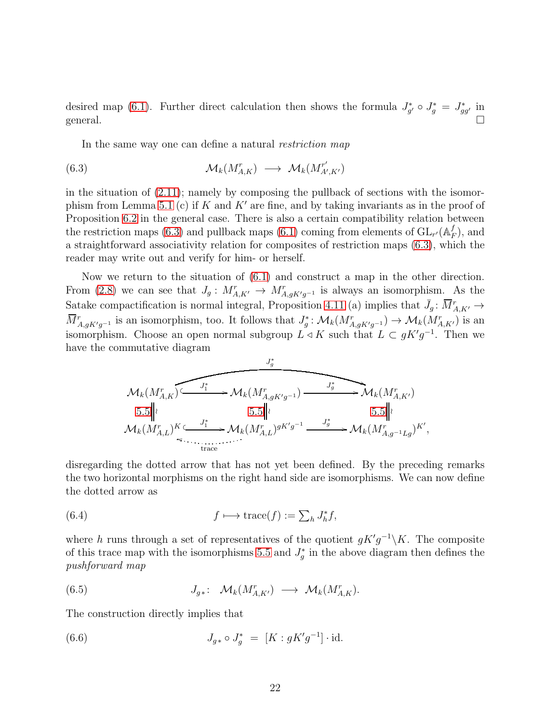desired map [\(6.1\)](#page-20-1). Further direct calculation then shows the formula  $J_{g'}^* \circ J_g^* = J_{gg'}^*$  in general.  $\Box$ 

<span id="page-21-0"></span>In the same way one can define a natural restriction map

(6.3) 
$$
\mathcal{M}_k(M^r_{A,K}) \longrightarrow \mathcal{M}_k(M^{r'}_{A',K'})
$$

in the situation of  $(2.11)$ ; namely by composing the pullback of sections with the isomor-phism from Lemma [5.1](#page-18-0) (c) if  $K$  and  $K'$  are fine, and by taking invariants as in the proof of Proposition [6.2](#page-20-2) in the general case. There is also a certain compatibility relation between the restriction maps [\(6.3\)](#page-21-0) and pullback maps [\(6.1\)](#page-20-1) coming from elements of  $GL_{r'}(A_p^f)$  $_{F}^{J}$ ), and a straightforward associativity relation for composites of restriction maps [\(6.3\)](#page-21-0), which the reader may write out and verify for him- or herself.

Now we return to the situation of [\(6.1\)](#page-20-1) and construct a map in the other direction. From [\(2.8\)](#page-7-3) we can see that  $J_g: M_{A,K'}^r \to M_{A,gK'g^{-1}}^r$  is always an isomorphism. As the Satake compactification is normal integral, Proposition [4.11](#page-17-0) (a) implies that  $\bar{J}_g : \bar{M}^r_{A,K'} \to$  $\overline{M}_{A,gK'g^{-1}}^r$  is an isomorphism, too. It follows that  $J_g^*$ :  $\mathcal{M}_k(M_{A,gK'g^{-1}}^r) \to \mathcal{M}_k(M_{A,K'}^r)$  is an isomorphism. Choose an open normal subgroup  $L \triangleleft K$  such that  $L \subset gK'g^{-1}$ . Then we have the commutative diagram

$$
\mathcal{M}_{k}(M_{A,K}^{r}) \xrightarrow{J_{1}^{*}} \mathcal{M}_{k}(M_{A,gK'g^{-1}}^{r}) \xrightarrow{J_{g}^{*}} \mathcal{M}_{k}(M_{A,K'}^{r})
$$
  
\n
$$
5.5 \qquad \qquad 5.5 \qquad \qquad 5.5 \qquad \qquad 5.5 \qquad \qquad 5.5 \qquad \qquad 5.5 \qquad \qquad 5.5 \qquad \qquad 5.5 \qquad \qquad 5.5 \qquad \qquad 5.5 \qquad \qquad 5.5 \qquad \qquad 5.5 \qquad \qquad 5.5 \qquad \qquad 5.5 \qquad \qquad 5.5 \qquad \qquad 5.5 \qquad \qquad 5.5 \qquad \qquad 5.5 \qquad \qquad 5.5 \qquad \qquad 5.5 \qquad \qquad 5.5 \qquad \qquad 5.5 \qquad \qquad 5.5 \qquad \qquad 5.5 \qquad \qquad 5.5 \qquad \qquad 5.5 \qquad \qquad 5.5 \qquad \qquad 5.5 \qquad \qquad 5.5 \qquad \qquad 5.5 \qquad \qquad 5.5 \qquad \qquad 5.5 \qquad \qquad 5.5 \qquad \qquad 5.5 \qquad \qquad 5.5 \qquad \qquad 5.5 \qquad \qquad 5.5 \qquad \qquad 5.5 \qquad \qquad 5.5 \qquad \qquad 5.5 \qquad \qquad 5.5 \qquad \qquad 5.5 \qquad \qquad 5.5 \qquad \qquad 5.5 \qquad \qquad 5.5 \qquad \qquad 5.5 \qquad \qquad 5.5 \qquad \qquad 5.5 \qquad \qquad 5.5 \qquad \qquad 5.5 \qquad \qquad 5.5 \qquad \qquad 5.5 \qquad \qquad 5.5 \qquad \qquad 5.5 \qquad \qquad 5.5 \qquad \qquad 5.5 \qquad \qquad 5.5 \qquad \qquad 5.5 \qquad \qquad 5.5 \qquad \qquad 5.5 \qquad \qquad 5.5 \qquad \qquad 5.5 \qquad \qquad 5.5 \qquad \qquad 5.5 \qquad \qquad 5.5 \qquad \qquad 5.5 \qquad \qquad 5.5 \qquad \qquad 5.5
$$

disregarding the dotted arrow that has not yet been defined. By the preceding remarks the two horizontal morphisms on the right hand side are isomorphisms. We can now define the dotted arrow as

(6.4) 
$$
f \longmapsto \operatorname{trace}(f) := \sum_h J_h^* f,
$$

where h runs through a set of representatives of the quotient  $gK'g^{-1}\backslash K$ . The composite of this trace map with the isomorphisms [5.5](#page-19-1) and  $J_g^*$  in the above diagram then defines the pushforward map

(6.5) 
$$
J_{g*}: \mathcal{M}_k(M_{A,K'}^r) \longrightarrow \mathcal{M}_k(M_{A,K}^r).
$$

The construction directly implies that

<span id="page-21-1"></span>(6.6) 
$$
J_{g*} \circ J_g^* = [K : gK'g^{-1}] \cdot id.
$$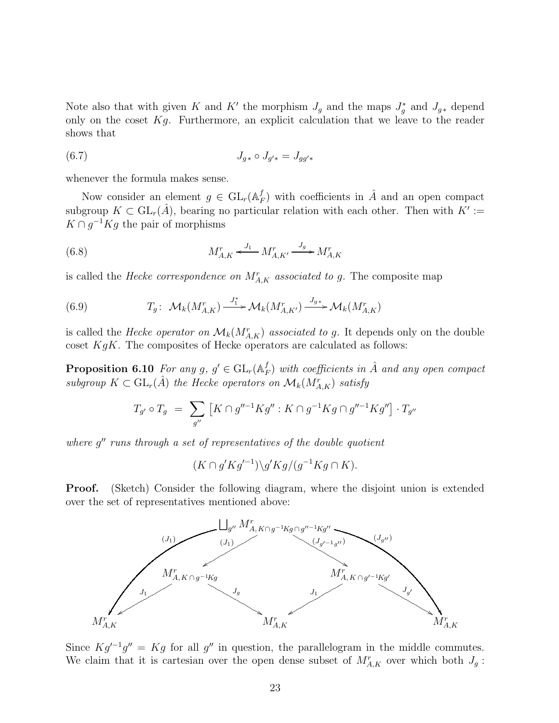Note also that with given K and K' the morphism  $J_g$  and the maps  $J_g^*$  and  $J_{g*}$  depend only on the coset  $Kg$ . Furthermore, an explicit calculation that we leave to the reader shows that

(6.7) 
$$
J_{g*} \circ J_{g'*} = J_{gg'*}
$$

whenever the formula makes sense.

Now consider an element  $g \in GL_r(\mathbb{A}_P^f)$  $_{F}^{f}$ ) with coefficients in  $\hat{A}$  and an open compact subgroup  $K \subset GL_r(\hat{A})$ , bearing no particular relation with each other. Then with  $K' :=$  $K \cap g^{-1}Kg$  the pair of morphisms

(6.8) 
$$
M_{A,K}^{r} \xleftarrow{J_{1}} M_{A,K'}^{r} \xrightarrow{J_{g}} M_{A,K}^{r}
$$

is called the *Hecke correspondence on*  $M_{A,K}^{r}$  associated to g. The composite map

(6.9) 
$$
T_g: \mathcal{M}_k(M_{A,K}^r) \xrightarrow{J_1^*} \mathcal{M}_k(M_{A,K'}^r) \xrightarrow{J_{g*}} \mathcal{M}_k(M_{A,K}^r)
$$

is called the *Hecke operator on*  $\mathcal{M}_k(M_{A,K}^r)$  associated to g. It depends only on the double coset  $KgK$ . The composites of Hecke operators are calculated as follows:

Proposition 6.10 For any g,  $g' \in \mathrm{GL}_r(\mathbb{A}_P^f)$  $_{F}^{f})$  with coefficients in  $\hat{A}$  and any open compact subgroup  $K \subset GL_r(\hat{A})$  the Hecke operators on  $\mathcal{M}_k(M^r_{A,K})$  satisfy

$$
T_{g'} \circ T_g \ = \ \sum_{g''} \left[ K \cap g''^{-1} K g'' : K \cap g^{-1} K g \cap g''^{-1} K g'' \right] \cdot T_{g''}
$$

where g" runs through a set of representatives of the double quotient

$$
(K \cap g' K g'^{-1}) \backslash g' K g / (g^{-1} K g \cap K).
$$

**Proof.** (Sketch) Consider the following diagram, where the disjoint union is extended over the set of representatives mentioned above:



Since  $Kg^{-1}g'' = Kg$  for all g'' in question, the parallelogram in the middle commutes. We claim that it is cartesian over the open dense subset of  $M_{A,K}^r$  over which both  $J_g$ :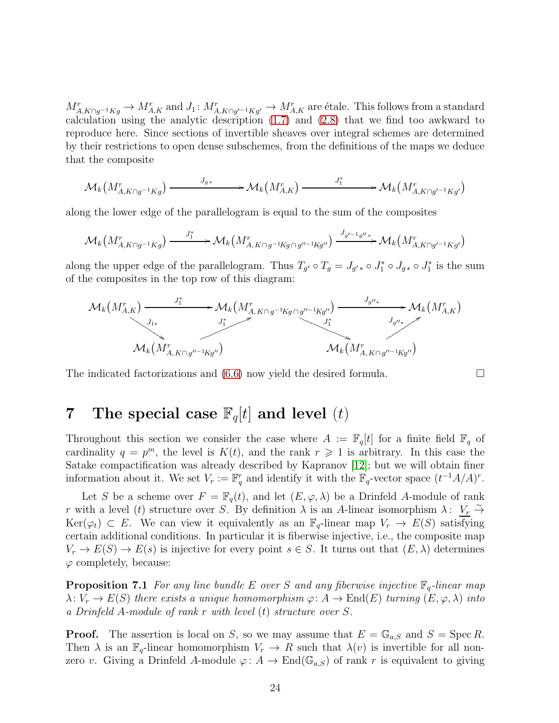$M_{A,K\cap g^{-1}Kg}^r \to M_{A,K}^r$  and  $J_1: M_{A,K\cap g'^{-1}Kg'}^r \to M_{A,K}^r$  are étale. This follows from a standard calculation using the analytic description [\(1.7\)](#page-4-0) and [\(2.8\)](#page-7-3) that we find too awkward to reproduce here. Since sections of invertible sheaves over integral schemes are determined by their restrictions to open dense subschemes, from the definitions of the maps we deduce that the composite

$$
\mathcal{M}_k\left(M^r_{A,K\cap g^{-1}Kg}\right) \xrightarrow{J_{g*}} \mathcal{M}_k\left(M^r_{A,K}\right) \xrightarrow{J^*_1} \mathcal{M}_k\left(M^r_{A,K\cap g'^{-1}Kg'}\right)
$$

along the lower edge of the parallelogram is equal to the sum of the composites

$$
\mathcal{M}_k\left(M^r_{A,K\cap g^{-1}Kg}\right) \xrightarrow{J^*_1} \mathcal{M}_k\left(M^r_{A,K\cap g^{-1}Kg\cap g''^{-1}Kg''}\right) \xrightarrow{J_{g'-1g''*}} \mathcal{M}_k\left(M^r_{A,K\cap g'^{-1}Kg'}\right)
$$

along the upper edge of the parallelogram. Thus  $T_{g'} \circ T_g = J_{g'*} \circ J_1^* \circ J_{g*} \circ J_1^*$  is the sum of the composites in the top row of this diagram:



The indicated factorizations and  $(6.6)$  now yield the desired formula.

# <span id="page-23-0"></span>7 The special case  $\mathbb{F}_q[t]$  and level  $(t)$

Throughout this section we consider the case where  $A := \mathbb{F}_q[t]$  for a finite field  $\mathbb{F}_q$  of cardinality  $q = p^m$ , the level is  $K(t)$ , and the rank  $r \geq 1$  is arbitrary. In this case the Satake compactification was already described by Kapranov [\[12\]](#page-29-0); but we will obtain finer information about it. We set  $V_r := \mathbb{F}_q^r$  and identify it with the  $\mathbb{F}_q$ -vector space  $(t^{-1}A/A)^r$ .

Let S be a scheme over  $F = \mathbb{F}_q(t)$ , and let  $(E, \varphi, \lambda)$  be a Drinfeld A-module of rank r with a level (t) structure over S. By definition  $\lambda$  is an A-linear isomorphism  $\lambda: V_r \overset{\sim}{\rightarrow}$ Ker( $\varphi_t$ ) ⊂ E. We can view it equivalently as an  $\mathbb{F}_q$ -linear map  $V_r \to E(S)$  satisfying certain additional conditions. In particular it is fiberwise injective, i.e., the composite map  $V_r \to E(S) \to E(s)$  is injective for every point  $s \in S$ . It turns out that  $(E, \lambda)$  determines  $\varphi$  completely, because:

<span id="page-23-1"></span>**Proposition 7.1** For any line bundle E over S and any fiberwise injective  $\mathbb{F}_q$ -linear map  $\lambda: V_r \to E(S)$  there exists a unique homomorphism  $\varphi: A \to End(E)$  turning  $(E, \varphi, \lambda)$  into a Drinfeld A-module of rank r with level (t) structure over S.

**Proof.** The assertion is local on S, so we may assume that  $E = \mathbb{G}_{a,S}$  and  $S = \text{Spec } R$ . Then  $\lambda$  is an  $\mathbb{F}_q$ -linear homomorphism  $V_r \to R$  such that  $\lambda(v)$  is invertible for all nonzero v. Giving a Drinfeld A-module  $\varphi: A \to \text{End}(\mathbb{G}_{a,S})$  of rank r is equivalent to giving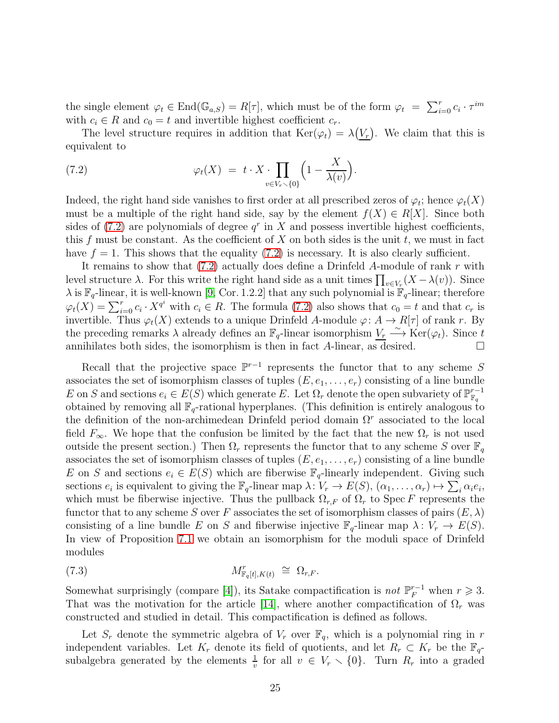the single element  $\varphi_t \in \text{End}(\mathbb{G}_{a,S}) = R[\tau]$ , which must be of the form  $\varphi_t = \sum_{i=0}^r c_i \cdot \tau^{im}$ with  $c_i \in R$  and  $c_0 = t$  and invertible highest coefficient  $c_r$ .

The level structure requires in addition that  $\text{Ker}(\varphi_t) = \lambda(\underline{V_r})$ . We claim that this is equivalent to

<span id="page-24-0"></span>(7.2) 
$$
\varphi_t(X) = t \cdot X \cdot \prod_{v \in V_r \setminus \{0\}} \left(1 - \frac{X}{\lambda(v)}\right).
$$

Indeed, the right hand side vanishes to first order at all prescribed zeros of  $\varphi_t$ ; hence  $\varphi_t(X)$ must be a multiple of the right hand side, say by the element  $f(X) \in R[X]$ . Since both sides of  $(7.2)$  are polynomials of degree  $q<sup>r</sup>$  in X and possess invertible highest coefficients, this f must be constant. As the coefficient of  $X$  on both sides is the unit  $t$ , we must in fact have  $f = 1$ . This shows that the equality [\(7.2\)](#page-24-0) is necessary. It is also clearly sufficient.

It remains to show that  $(7.2)$  actually does define a Drinfeld A-module of rank r with level structure  $\lambda$ . For this write the right hand side as a unit times  $\prod_{v \in V_r} (X - \lambda(v))$ . Since  $\lambda$  is  $\mathbb{F}_q$ -linear, it is well-known [\[9,](#page-28-9) Cor. 1.2.2] that any such polynomial is  $\mathbb{F}_q$ -linear; therefore  $\varphi_t(X) = \sum_{i=0}^r c_i \cdot X^{q^i}$  with  $c_i \in R$ . The formula [\(7.2\)](#page-24-0) also shows that  $c_0 = t$  and that  $c_r$  is invertible. Thus  $\varphi_t(X)$  extends to a unique Drinfeld A-module  $\varphi: A \to R[\tau]$  of rank r. By the preceding remarks  $\lambda$  already defines an  $\mathbb{F}_q$ -linear isomorphism  $V_r \xrightarrow{\sim} \text{Ker}(\varphi_t)$ . Since t annihilates both sides, the isomorphism is then in fact A-linear, as desired.  $\square$ 

Recall that the projective space  $\mathbb{P}^{r-1}$  represents the functor that to any scheme S associates the set of isomorphism classes of tuples  $(E, e_1, \ldots, e_r)$  consisting of a line bundle E on S and sections  $e_i \in E(S)$  which generate E. Let  $\Omega_r$  denote the open subvariety of  $\mathbb{P}_{\mathbb{F}_q}^{r-1}$  $\mathbb{F}_q$ obtained by removing all  $\mathbb{F}_q$ -rational hyperplanes. (This definition is entirely analogous to the definition of the non-archimedean Drinfeld period domain  $\Omega^r$  associated to the local field  $F_{\infty}$ . We hope that the confusion be limited by the fact that the new  $\Omega_r$  is not used outside the present section.) Then  $\Omega_r$  represents the functor that to any scheme S over  $\mathbb{F}_q$ associates the set of isomorphism classes of tuples  $(E, e_1, \ldots, e_r)$  consisting of a line bundle E on S and sections  $e_i \in E(S)$  which are fiberwise  $\mathbb{F}_q$ -linearly independent. Giving such sections  $e_i$  is equivalent to giving the  $\mathbb{F}_q$ -linear map  $\lambda: V_r \to E(S)$ ,  $(\alpha_1, \ldots, \alpha_r) \mapsto \sum_i \alpha_i e_i$ , which must be fiberwise injective. Thus the pullback  $\Omega_{r,F}$  of  $\Omega_r$  to Spec F represents the functor that to any scheme S over F associates the set of isomorphism classes of pairs  $(E, \lambda)$ consisting of a line bundle E on S and fiberwise injective  $\mathbb{F}_q$ -linear map  $\lambda: V_r \to E(S)$ . In view of Proposition [7.1](#page-23-1) we obtain an isomorphism for the moduli space of Drinfeld modules

<span id="page-24-1"></span>
$$
M^r_{\mathbb{F}_q[t],K(t)} \cong \Omega_{r,F}.
$$

Somewhat surprisingly (compare [\[4\]](#page-28-10)), its Satake compactification is *not*  $\mathbb{P}_F^{r-1}$  when  $r \geq 3$ . That was the motivation for the article [\[14\]](#page-29-1), where another compactification of  $\Omega_r$  was constructed and studied in detail. This compactification is defined as follows.

Let  $S_r$  denote the symmetric algebra of  $V_r$  over  $\mathbb{F}_q$ , which is a polynomial ring in r independent variables. Let  $K_r$  denote its field of quotients, and let  $R_r \subset K_r$  be the  $\mathbb{F}_q$ subalgebra generated by the elements  $\frac{1}{v}$  for all  $v \in V_r \setminus \{0\}$ . Turn  $R_r$  into a graded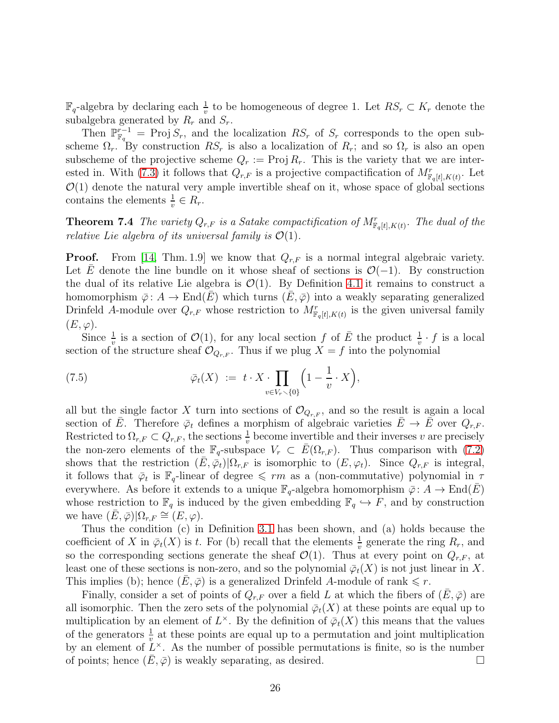$\mathbb{F}_q$ -algebra by declaring each  $\frac{1}{v}$  to be homogeneous of degree 1. Let  $RS_r \subset K_r$  denote the subalgebra generated by  $R_r$  and  $S_r$ .

Then  $\mathbb{P}_{\mathbb{F}_q}^{r-1}$  = Proj  $S_r$ , and the localization  $RS_r$  of  $S_r$  corresponds to the open subscheme  $\Omega_r$ . By construction  $RS_r$  is also a localization of  $R_r$ ; and so  $\Omega_r$  is also an open subscheme of the projective scheme  $Q_r := \text{Proj } R_r$ . This is the variety that we are inter-ested in. With [\(7.3\)](#page-24-1) it follows that  $Q_{r,F}$  is a projective compactification of  $M_{\mathbb{F}_q[t],K(t)}^r$ . Let  $\mathcal{O}(1)$  denote the natural very ample invertible sheaf on it, whose space of global sections contains the elements  $\frac{1}{v} \in R_r$ .

<span id="page-25-0"></span>**Theorem 7.4** The variety  $Q_{r,F}$  is a Satake compactification of  $M_{\mathbb{F}_q[t],K(t)}^r$ . The dual of the relative Lie algebra of its universal family is  $\mathcal{O}(1)$ .

**Proof.** From [\[14,](#page-29-1) Thm. 1.9] we know that  $Q_{r,F}$  is a normal integral algebraic variety. Let E denote the line bundle on it whose sheaf of sections is  $\mathcal{O}(-1)$ . By construction the dual of its relative Lie algebra is  $\mathcal{O}(1)$ . By Definition [4.1](#page-13-2) it remains to construct a homomorphism  $\bar{\varphi}$ :  $A \to \text{End}(E)$  which turns  $(E, \bar{\varphi})$  into a weakly separating generalized Drinfeld A-module over  $Q_{r,F}$  whose restriction to  $M_{\mathbb{F}_q[t],K(t)}^r$  is the given universal family  $(E, \varphi).$ 

Since  $\frac{1}{v}$  is a section of  $\mathcal{O}(1)$ , for any local section f of  $\overline{E}$  the product  $\frac{1}{v} \cdot f$  is a local section of the structure sheaf  $\mathcal{O}_{Q_{r,F}}$ . Thus if we plug  $X = f$  into the polynomial

<span id="page-25-1"></span>(7.5) 
$$
\overline{\varphi}_t(X) := t \cdot X \cdot \prod_{v \in V_r \setminus \{0\}} \left(1 - \frac{1}{v} \cdot X\right),
$$

all but the single factor X turn into sections of  $\mathcal{O}_{Q_{r,F}}$ , and so the result is again a local section of  $\overline{E}$ . Therefore  $\overline{\varphi}_t$  defines a morphism of algebraic varieties  $\overline{E} \to \overline{E}$  over  $Q_{r,F}$ . Restricted to  $\Omega_{r,F} \subset Q_{r,F}$ , the sections  $\frac{1}{v}$  become invertible and their inverses v are precisely the non-zero elements of the  $\mathbb{F}_q$ -subspace  $V_r \subset \overline{E}(\Omega_{r,F})$ . Thus comparison with [\(7.2\)](#page-24-0) shows that the restriction  $(\bar{E}, \bar{\varphi}_t)|\Omega_{r,F}$  is isomorphic to  $(E, \varphi_t)$ . Since  $Q_{r,F}$  is integral, it follows that  $\bar{\varphi}_t$  is  $\mathbb{F}_q$ -linear of degree  $\leqslant rm$  as a (non-commutative) polynomial in  $\tau$ everywhere. As before it extends to a unique  $\mathbb{F}_q$ -algebra homomorphism  $\bar{\varphi} : A \to \text{End}(E)$ whose restriction to  $\mathbb{F}_q$  is induced by the given embedding  $\mathbb{F}_q \hookrightarrow F$ , and by construction we have  $(E, \bar{\varphi})|\Omega_{r,F} \cong (E, \varphi)$ .

Thus the condition (c) in Definition [3.1](#page-9-0) has been shown, and (a) holds because the coefficient of X in  $\bar{\varphi}_t(X)$  is t. For (b) recall that the elements  $\frac{1}{v}$  generate the ring  $R_r$ , and so the corresponding sections generate the sheaf  $\mathcal{O}(1)$ . Thus at every point on  $Q_{r,F}$ , at least one of these sections is non-zero, and so the polynomial  $\bar{\varphi}_t(X)$  is not just linear in X. This implies (b); hence  $(\bar{E}, \bar{\varphi})$  is a generalized Drinfeld A-module of rank  $\leq r$ .

Finally, consider a set of points of  $Q_{r,F}$  over a field L at which the fibers of  $(E,\bar{\varphi})$  are all isomorphic. Then the zero sets of the polynomial  $\overline{\varphi}_t(X)$  at these points are equal up to multiplication by an element of  $L^{\times}$ . By the definition of  $\bar{\varphi}_t(X)$  this means that the values of the generators  $\frac{1}{v}$  at these points are equal up to a permutation and joint multiplication by an element of  $L^{\times}$ . As the number of possible permutations is finite, so is the number of points; hence  $(E, \overline{\varphi})$  is weakly separating, as desired.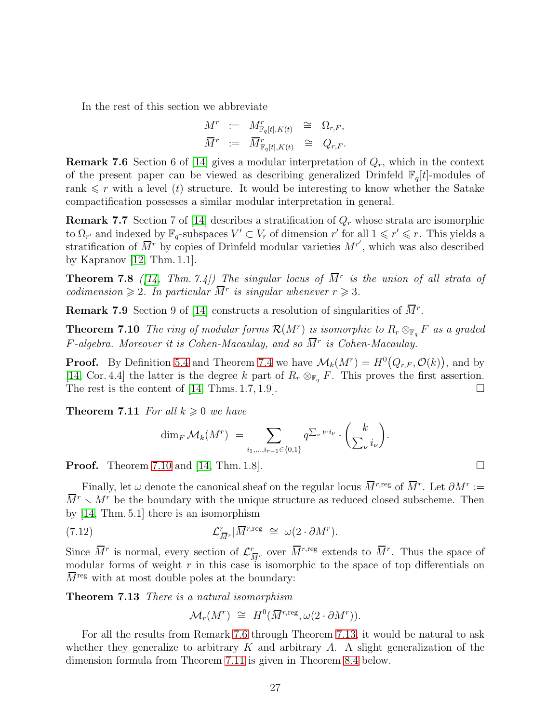In the rest of this section we abbreviate

$$
\begin{array}{rclclcl} M^r & := & M^r_{\mathbb{F}_q[t],K(t)} & \cong & \Omega_{r,F}, \\ \overline{M}^r & := & \overline{M}^r_{\mathbb{F}_q[t],K(t)} & \cong & Q_{r,F}. \end{array}
$$

<span id="page-26-1"></span>**Remark 7.6** Section 6 of [\[14\]](#page-29-1) gives a modular interpretation of  $Q_r$ , which in the context of the present paper can be viewed as describing generalized Drinfeld  $\mathbb{F}_q[t]$ -modules of rank  $\leq r$  with a level (t) structure. It would be interesting to know whether the Satake compactification possesses a similar modular interpretation in general.

**Remark 7.7** Section 7 of [\[14\]](#page-29-1) describes a stratification of  $Q_r$  whose strata are isomorphic to  $\Omega_{r'}$  and indexed by  $\mathbb{F}_q$ -subspaces  $V' \subset V_r$  of dimension  $r'$  for all  $1 \leqslant r' \leqslant r$ . This yields a stratification of  $\overline{M}^r$  by copies of Drinfeld modular varieties  $M^{r'}$ , which was also described by Kapranov [\[12,](#page-29-0) Thm. 1.1].

**Theorem 7.8** ([\[14,](#page-29-1) Thm. 7.4]) The singular locus of  $\overline{M}^r$  is the union of all strata of codimension  $\geq 2$ . In particular  $\overline{M}^r$  is singular whenever  $r \geq 3$ .

<span id="page-26-0"></span>**Remark 7.9** Section 9 of [\[14\]](#page-29-1) constructs a resolution of singularities of  $\overline{M}^r$ .

**Theorem 7.10** The ring of modular forms  $\mathcal{R}(M^r)$  is isomorphic to  $R_r \otimes_{\mathbb{F}_q} F$  as a graded  $F$ -algebra. Moreover it is Cohen-Macaulay, and so  $\overline{M}{}^r$  is Cohen-Macaulay.

**Proof.** By Definition [5.4](#page-19-0) and Theorem [7.4](#page-25-0) we have  $\mathcal{M}_k(M^r) = H^0(Q_{r,F}, \mathcal{O}(k))$ , and by [\[14,](#page-29-1) Cor. 4.4] the latter is the degree k part of  $R_r \otimes_{\mathbb{F}_q} F$ . This proves the first assertion. The rest is the content of [\[14,](#page-29-1) Thms. 1.7, 1.9].

<span id="page-26-3"></span>**Theorem 7.11** For all  $k \geq 0$  we have

$$
\dim_F \mathcal{M}_k(M^r) = \sum_{i_1,\dots,i_{r-1}\in\{0,1\}} q^{\sum_{\nu} \nu \cdot i_{\nu}} \cdot \binom{k}{\sum_{\nu} i_{\nu}}.
$$

**Proof.** Theorem [7.10](#page-26-0) and [\[14,](#page-29-1) Thm. 1.8].

Finally, let  $\omega$  denote the canonical sheaf on the regular locus  $\overline{M}^{r,\text{reg}}$  of  $\overline{M}^r$ . Let  $\partial M^r :=$  $M^{r} \setminus M^{r}$  be the boundary with the unique structure as reduced closed subscheme. Then by [\[14,](#page-29-1) Thm. 5.1] there is an isomorphism

(7.12) 
$$
\mathcal{L}_{\overline{M}^r}^r | \overline{M}^{r, \text{reg}} \cong \omega(2 \cdot \partial M^r).
$$

Since  $\overline{M}^r$  is normal, every section of  $\mathcal{L}^r_{\overline{M}^r}$  over  $\overline{M}^{r,reg}$  extends to  $\overline{M}^r$ . Thus the space of modular forms of weight  $r$  in this case is isomorphic to the space of top differentials on  $\overline{M}^{\text{reg}}$  with at most double poles at the boundary:

<span id="page-26-2"></span>Theorem 7.13 There is a natural isomorphism

$$
\mathcal{M}_r(M^r) \cong H^0(\overline{M}^{r,\text{reg}}, \omega(2 \cdot \partial M^r)).
$$

For all the results from Remark [7.6](#page-26-1) through Theorem [7.13,](#page-26-2) it would be natural to ask whether they generalize to arbitrary K and arbitrary A. A slight generalization of the dimension formula from Theorem [7.11](#page-26-3) is given in Theorem [8.4](#page-27-0) below.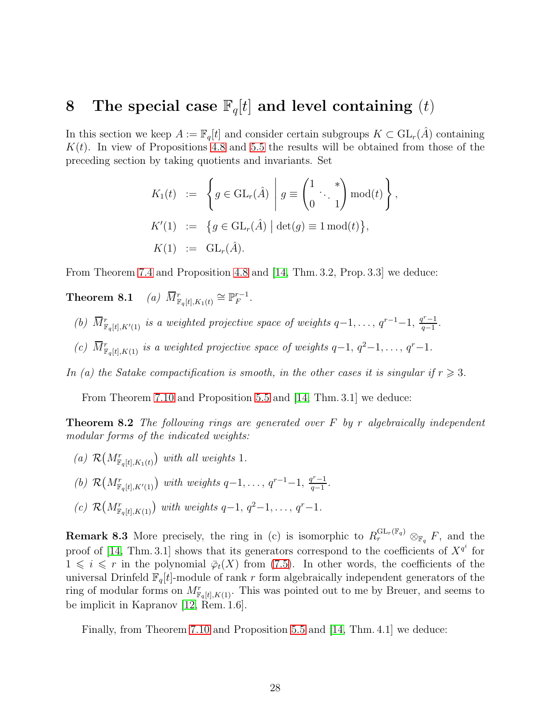### 8 The special case  $\mathbb{F}_q[t]$  and level containing  $(t)$

In this section we keep  $A := \mathbb{F}_q[t]$  and consider certain subgroups  $K \subset GL_r(\hat{A})$  containing  $K(t)$ . In view of Propositions [4.8](#page-16-1) and [5.5](#page-19-1) the results will be obtained from those of the preceding section by taking quotients and invariants. Set

$$
K_1(t) := \left\{ g \in GL_r(\hat{A}) \mid g \equiv \begin{pmatrix} 1 & * \\ 0 & \cdot & 1 \end{pmatrix} \text{mod}(t) \right\},
$$
  
\n
$$
K'(1) := \left\{ g \in GL_r(\hat{A}) \mid \det(g) \equiv 1 \text{ mod}(t) \right\},
$$
  
\n
$$
K(1) := GL_r(\hat{A}).
$$

From Theorem [7.4](#page-25-0) and Proposition [4.8](#page-16-1) and [\[14,](#page-29-1) Thm. 3.2, Prop. 3.3] we deduce:

Theorem 8.1 *(a)*  $\overline{M}^r_{\mathbb{F}_q[t], K_1(t)} \cong \mathbb{P}_F^{r-1}$  $\frac{r-1}{F}$ .

- (b)  $\overline{M}^r_{\mathbb{F}_q[t],K'(1)}$  is a weighted projective space of weights  $q-1,\ldots,q^{r-1}-1$ ,  $\frac{q^{r}-1}{q-1}$  $rac{q-1}{q-1}$ .
- (c)  $\overline{M}^r_{\mathbb{F}_q[t],K(1)}$  is a weighted projective space of weights  $q-1, q^2-1, \ldots, q^r-1$ .

In (a) the Satake compactification is smooth, in the other cases it is singular if  $r \geq 3$ .

From Theorem [7.10](#page-26-0) and Proposition [5.5](#page-19-1) and [\[14,](#page-29-1) Thm. 3.1] we deduce:

**Theorem 8.2** The following rings are generated over  $F$  by r algebraically independent modular forms of the indicated weights:

- (a)  $\mathcal{R}(M^r_{\mathbb{F}_q[t], K_1(t)})$  with all weights 1.
- (b)  $\mathcal{R}(M^r_{\mathbb{F}_q[t], K'(1)})$  with weights  $q-1, \ldots, q^{r-1}-1, \frac{q^r-1}{q-1}$  $rac{q-1}{q-1}$ .
- (c)  $\mathcal{R}(M^r_{\mathbb{F}_q[t],K(1)})$  with weights  $q-1, q^2-1, \ldots, q^r-1$ .

**Remark 8.3** More precisely, the ring in (c) is isomorphic to  $R_r^{\text{GL}_r(\mathbb{F}_q)} \otimes_{\mathbb{F}_q} F$ , and the proof of [\[14,](#page-29-1) Thm. 3.1] shows that its generators correspond to the coefficients of  $X^{q^i}$  for  $1 \leq i \leq r$  in the polynomial  $\overline{\varphi}_t(X)$  from [\(7.5\)](#page-25-1). In other words, the coefficients of the universal Drinfeld  $\mathbb{F}_q[t]$ -module of rank r form algebraically independent generators of the ring of modular forms on  $M_{\mathbb{F}_q[t],K(1)}^r$ . This was pointed out to me by Breuer, and seems to be implicit in Kapranov [\[12,](#page-29-0) Rem. 1.6].

<span id="page-27-0"></span>Finally, from Theorem [7.10](#page-26-0) and Proposition [5.5](#page-19-1) and [\[14,](#page-29-1) Thm. 4.1] we deduce: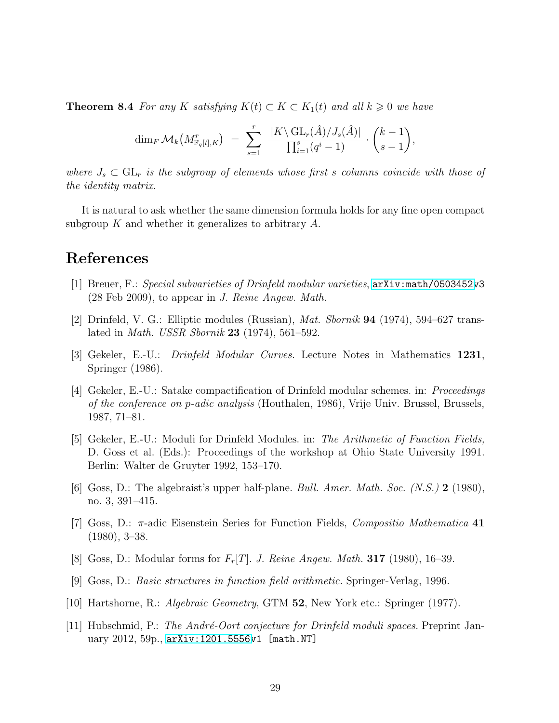**Theorem 8.4** For any K satisfying  $K(t) \subset K \subset K_1(t)$  and all  $k \geq 0$  we have

$$
\dim_F \mathcal{M}_k\big(M^r_{\mathbb{F}_q[t],K}\big) \;=\; \sum_{s=1}^r \; \frac{|K\backslash \operatorname{GL}_r(\hat{A})/J_s(\hat{A})|}{\prod_{i=1}^s (q^i-1)} \cdot \binom{k-1}{s-1},
$$

where  $J_s \subset GL_r$  is the subgroup of elements whose first s columns coincide with those of the identity matrix.

It is natural to ask whether the same dimension formula holds for any fine open compact subgroup  $K$  and whether it generalizes to arbitrary  $A$ .

# <span id="page-28-5"></span>References

- <span id="page-28-6"></span>[1] Breuer, F.: Special subvarieties of Drinfeld modular varieties, [arXiv:math/0503452v](http://arxiv.org/abs/math/0503452)3 (28 Feb 2009), to appear in J. Reine Angew. Math.
- <span id="page-28-0"></span>[2] Drinfeld, V. G.: Elliptic modules (Russian),  $Mat.$  Sbornik **94** (1974), 594–627 translated in *Math. USSR Sbornik* **23** (1974), 561–592.
- <span id="page-28-10"></span>[3] Gekeler, E.-U.: Drinfeld Modular Curves. Lecture Notes in Mathematics 1231, Springer (1986).
- [4] Gekeler, E.-U.: Satake compactification of Drinfeld modular schemes. in: Proceedings of the conference on p-adic analysis (Houthalen, 1986), Vrije Univ. Brussel, Brussels, 1987, 71–81.
- <span id="page-28-7"></span>[5] Gekeler, E.-U.: Moduli for Drinfeld Modules. in: The Arithmetic of Function Fields, D. Goss et al. (Eds.): Proceedings of the workshop at Ohio State University 1991. Berlin: Walter de Gruyter 1992, 153–170.
- <span id="page-28-2"></span><span id="page-28-1"></span>[6] Goss, D.: The algebraist's upper half-plane. Bull. Amer. Math. Soc. (N.S.) 2 (1980), no. 3, 391–415.
- [7] Goss, D.:  $\pi$ -adic Eisenstein Series for Function Fields, *Compositio Mathematica* 41 (1980), 3–38.
- <span id="page-28-9"></span><span id="page-28-3"></span>[8] Goss, D.: Modular forms for  $F_r[T]$ . J. Reine Angew. Math. 317 (1980), 16-39.
- <span id="page-28-8"></span>[9] Goss, D.: Basic structures in function field arithmetic. Springer-Verlag, 1996.
- <span id="page-28-4"></span>[10] Hartshorne, R.: Algebraic Geometry, GTM 52, New York etc.: Springer (1977).
- [11] Hubschmid, P.: The André-Oort conjecture for Drinfeld moduli spaces. Preprint January 2012, 59p., [arXiv:1201.5556v](http://arxiv.org/abs/1201.5556)1 [math.NT]